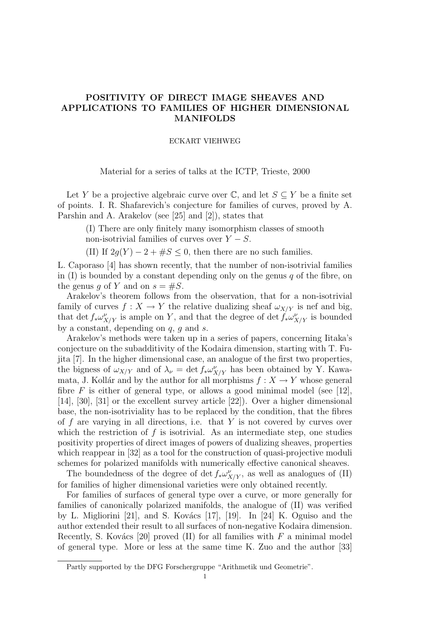# POSITIVITY OF DIRECT IMAGE SHEAVES AND APPLICATIONS TO FAMILIES OF HIGHER DIMENSIONAL MANIFOLDS

### ECKART VIEHWEG

Material for a series of talks at the ICTP, Trieste, 2000

Let Y be a projective algebraic curve over  $\mathbb{C}$ , and let  $S \subseteq Y$  be a finite set of points. I. R. Shafarevich's conjecture for families of curves, proved by A. Parshin and A. Arakelov (see [25] and [2]), states that

(I) There are only finitely many isomorphism classes of smooth non-isotrivial families of curves over  $Y - S$ .

(II) If  $2q(Y) - 2 + \#S \leq 0$ , then there are no such families.

L. Caporaso [4] has shown recently, that the number of non-isotrivial families in  $(I)$  is bounded by a constant depending only on the genus q of the fibre, on the genus g of Y and on  $s = \#S$ .

Arakelov's theorem follows from the observation, that for a non-isotrivial family of curves  $f: X \to Y$  the relative dualizing sheaf  $\omega_{X/Y}$  is nef and big, that det  $f_*\omega^{\nu}_{X/Y}$  is ample on Y, and that the degree of det  $f_*\omega^{\nu}_{X/Y}$  is bounded by a constant, depending on  $q$ ,  $q$  and  $s$ .

Arakelov's methods were taken up in a series of papers, concerning Iitaka's conjecture on the subadditivity of the Kodaira dimension, starting with T. Fujita [7]. In the higher dimensional case, an analogue of the first two properties, the bigness of  $\omega_{X/Y}$  and of  $\lambda_{\nu} = \det f_* \omega_{X/Y}^{\nu}$  has been obtained by Y. Kawamata, J. Kollár and by the author for all morphisms  $f : X \to Y$  whose general fibre F is either of general type, or allows a good minimal model (see [12], [14], [30], [31] or the excellent survey article [22]). Over a higher dimensional base, the non-isotriviality has to be replaced by the condition, that the fibres of f are varying in all directions, i.e. that  $Y$  is not covered by curves over which the restriction of  $f$  is isotrivial. As an intermediate step, one studies positivity properties of direct images of powers of dualizing sheaves, properties which reappear in [32] as a tool for the construction of quasi-projective moduli schemes for polarized manifolds with numerically effective canonical sheaves.

The boundedness of the degree of det  $f_*\omega^{\nu}_{X/Y}$ , as well as analogues of (II) for families of higher dimensional varieties were only obtained recently.

For families of surfaces of general type over a curve, or more generally for families of canonically polarized manifolds, the analogue of (II) was verified by L. Migliorini [21], and S. Kovács [17], [19]. In [24] K. Oguiso and the author extended their result to all surfaces of non-negative Kodaira dimension. Recently, S. Kovács [20] proved (II) for all families with  $F$  a minimal model of general type. More or less at the same time K. Zuo and the author [33]

Partly supported by the DFG Forschergruppe "Arithmetik und Geometrie".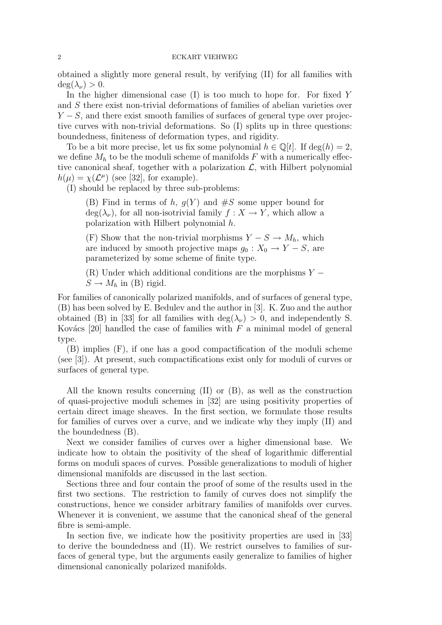obtained a slightly more general result, by verifying (II) for all families with  $deg(\lambda_{\nu}) > 0.$ 

In the higher dimensional case  $(I)$  is too much to hope for. For fixed Y and S there exist non-trivial deformations of families of abelian varieties over  $Y - S$ , and there exist smooth families of surfaces of general type over projective curves with non-trivial deformations. So (I) splits up in three questions: boundedness, finiteness of deformation types, and rigidity.

To be a bit more precise, let us fix some polynomial  $h \in \mathbb{Q}[t]$ . If  $\deg(h) = 2$ , we define  $M_h$  to be the moduli scheme of manifolds F with a numerically effective canonical sheaf, together with a polarization  $\mathcal{L}$ , with Hilbert polynomial  $h(\mu) = \chi(\mathcal{L}^{\mu})$  (see [32], for example).

(I) should be replaced by three sub-problems:

(B) Find in terms of h,  $g(Y)$  and  $\#S$  some upper bound for  $deg(\lambda_{\nu})$ , for all non-isotrivial family  $f: X \to Y$ , which allow a polarization with Hilbert polynomial h.

(F) Show that the non-trivial morphisms  $Y - S \to M_h$ , which are induced by smooth projective maps  $g_0: X_0 \to Y - S$ , are parameterized by some scheme of finite type.

(R) Under which additional conditions are the morphisms  $Y S \to M_h$  in (B) rigid.

For families of canonically polarized manifolds, and of surfaces of general type, (B) has been solved by E. Bedulev and the author in [3]. K. Zuo and the author obtained (B) in [33] for all families with  $deg(\lambda_{\nu}) > 0$ , and independently S. Kovács [20] handled the case of families with  $F$  a minimal model of general type.

(B) implies (F), if one has a good compactification of the moduli scheme (see [3]). At present, such compactifications exist only for moduli of curves or surfaces of general type.

All the known results concerning (II) or (B), as well as the construction of quasi-projective moduli schemes in [32] are using positivity properties of certain direct image sheaves. In the first section, we formulate those results for families of curves over a curve, and we indicate why they imply (II) and the boundedness (B).

Next we consider families of curves over a higher dimensional base. We indicate how to obtain the positivity of the sheaf of logarithmic differential forms on moduli spaces of curves. Possible generalizations to moduli of higher dimensional manifolds are discussed in the last section.

Sections three and four contain the proof of some of the results used in the first two sections. The restriction to family of curves does not simplify the constructions, hence we consider arbitrary families of manifolds over curves. Whenever it is convenient, we assume that the canonical sheaf of the general fibre is semi-ample.

In section five, we indicate how the positivity properties are used in [33] to derive the boundedness and (II). We restrict ourselves to families of surfaces of general type, but the arguments easily generalize to families of higher dimensional canonically polarized manifolds.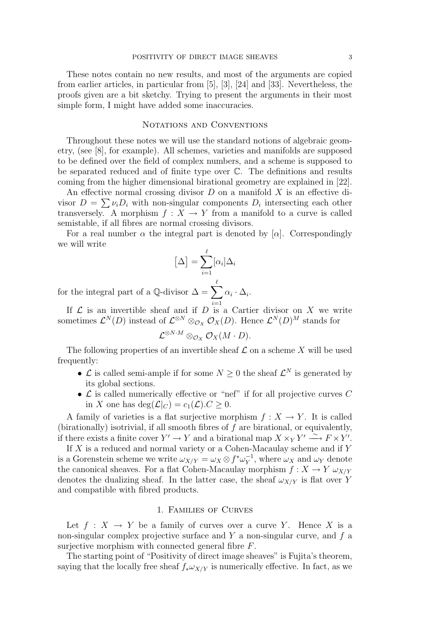These notes contain no new results, and most of the arguments are copied from earlier articles, in particular from [5], [3], [24] and [33]. Nevertheless, the proofs given are a bit sketchy. Trying to present the arguments in their most simple form, I might have added some inaccuracies.

# NOTATIONS AND CONVENTIONS

Throughout these notes we will use the standard notions of algebraic geometry, (see [8], for example). All schemes, varieties and manifolds are supposed to be defined over the field of complex numbers, and a scheme is supposed to be separated reduced and of finite type over C. The definitions and results coming from the higher dimensional birational geometry are explained in [22].

An effective normal crossing divisor  $D$  on a manifold  $X$  is an effective divisor  $D = \sum_i \nu_i D_i$  with non-singular components  $D_i$  intersecting each other transversely. A morphism  $f: X \to Y$  from a manifold to a curve is called semistable, if all fibres are normal crossing divisors.

For a real number  $\alpha$  the integral part is denoted by  $[\alpha]$ . Correspondingly we will write

$$
\left[\Delta\right] = \sum_{i=1}^{\ell} [\alpha_i] \Delta_i
$$

for the integral part of a Q-divisor  $\Delta = \sum$  $\alpha_i \cdot \Delta_i$ .

If  $\mathcal L$  is an invertible sheaf and if  $D$  is a Cartier divisor on X we write sometimes  $\mathcal{L}^N(D)$  instead of  $\mathcal{L}^{\otimes N} \otimes_{\mathcal{O}_X} \mathcal{O}_X(D)$ . Hence  $\mathcal{L}^N(D)^M$  stands for

$$
{\mathcal L}^{\otimes N \cdot M} \otimes_{{\mathcal O}_X} {\mathcal O}_X(M \cdot D).
$$

The following properties of an invertible sheaf  $\mathcal L$  on a scheme X will be used frequently:

- $\mathcal L$  is called semi-ample if for some  $N \geq 0$  the sheaf  $\mathcal L^N$  is generated by its global sections.
- $\mathcal L$  is called numerically effective or "nef" if for all projective curves  $C$ in X one has  $deg(\mathcal{L}|_C) = c_1(\mathcal{L}) \cdot C \geq 0$ .

A family of varieties is a flat surjective morphism  $f : X \to Y$ . It is called (birationally) isotrivial, if all smooth fibres of  $f$  are birational, or equivalently, if there exists a finite cover  $Y' \to Y$  and a birational map  $X \times_Y Y' \xrightarrow{\sim} F \times Y'$ .

If  $X$  is a reduced and normal variety or a Cohen-Macaulay scheme and if  $Y$ is a Gorenstein scheme we write  $\omega_{X/Y} = \omega_X \otimes f^* \omega_Y^{-1}$  $y_Y^{-1}$ , where  $\omega_X$  and  $\omega_Y$  denote the canonical sheaves. For a flat Cohen-Macaulay morphism  $f: X \to Y \omega_{X/Y}$ denotes the dualizing sheaf. In the latter case, the sheaf  $\omega_{X/Y}$  is flat over Y and compatible with fibred products.

### 1. Families of Curves

Let  $f: X \to Y$  be a family of curves over a curve Y. Hence X is a non-singular complex projective surface and  $Y$  a non-singular curve, and  $f$  a surjective morphism with connected general fibre F.

The starting point of "Positivity of direct image sheaves" is Fujita's theorem, saying that the locally free sheaf  $f_* \omega_{X/Y}$  is numerically effective. In fact, as we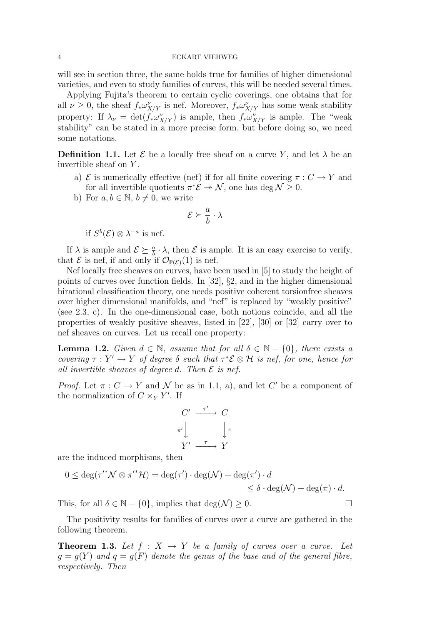will see in section three, the same holds true for families of higher dimensional varieties, and even to study families of curves, this will be needed several times.

Applying Fujita's theorem to certain cyclic coverings, one obtains that for all  $\nu \geq 0$ , the sheaf  $f_* \omega_{X/Y}^{\nu}$  is nef. Moreover,  $f_* \omega_{X/Y}^{\nu}$  has some weak stability property: If  $\lambda_{\nu} = \det(f_* \omega_{X/Y}^{\nu})$  is ample, then  $f_* \omega_{X/Y}^{\nu}$  is ample. The "weak stability" can be stated in a more precise form, but before doing so, we need some notations.

**Definition 1.1.** Let  $\mathcal{E}$  be a locally free sheaf on a curve Y, and let  $\lambda$  be an invertible sheaf on Y.

- a)  $\mathcal E$  is numerically effective (nef) if for all finite covering  $\pi: C \to Y$  and for all invertible quotients  $\pi^*\mathcal{E} \to \mathcal{N}$ , one has deg  $\mathcal{N} \geq 0$ .
- b) For  $a, b \in \mathbb{N}, b \neq 0$ , we write

$$
\mathcal{E} \succeq \frac{a}{b} \cdot \lambda
$$

if  $S^b(\mathcal{E}) \otimes \lambda^{-a}$  is nef.

If  $\lambda$  is ample and  $\mathcal{E} \succeq \frac{a}{b} \cdot \lambda$ , then  $\mathcal{E}$  is ample. It is an easy exercise to verify, that  $\mathcal E$  is nef, if and only if  $\mathcal O_{\mathbb P(\mathcal E)}(1)$  is nef.

Nef locally free sheaves on curves, have been used in [5] to study the height of points of curves over function fields. In [32], §2, and in the higher dimensional birational classification theory, one needs positive coherent torsionfree sheaves over higher dimensional manifolds, and "nef" is replaced by "weakly positive" (see 2.3, c). In the one-dimensional case, both notions coincide, and all the properties of weakly positive sheaves, listed in [22], [30] or [32] carry over to nef sheaves on curves. Let us recall one property:

**Lemma 1.2.** Given  $d \in \mathbb{N}$ , assume that for all  $\delta \in \mathbb{N} - \{0\}$ , there exists a covering  $\tau : Y' \to Y$  of degree  $\delta$  such that  $\tau^* \mathcal{E} \otimes \mathcal{H}$  is nef, for one, hence for all invertible sheaves of degree d. Then  $\mathcal E$  is nef.

*Proof.* Let  $\pi: C \to Y$  and N be as in 1.1, a), and let C' be a component of the normalization of  $C \times_Y Y'$ . If

$$
\begin{array}{ccc}\nC' & \xrightarrow{\tau'} & C \\
\pi' & & \downarrow \pi \\
Y' & \xrightarrow{\tau} & Y\n\end{array}
$$

are the induced morphisms, then

$$
0 \le \deg(\tau'^* \mathcal{N} \otimes \pi'^* \mathcal{H}) = \deg(\tau') \cdot \deg(\mathcal{N}) + \deg(\pi') \cdot d \le \delta \cdot \deg(\mathcal{N}) + \deg(\pi) \cdot d.
$$

This, for all  $\delta \in \mathbb{N} - \{0\}$ , implies that  $\deg(\mathcal{N}) \geq 0$ .

The positivity results for families of curves over a curve are gathered in the following theorem.

**Theorem 1.3.** Let  $f : X \to Y$  be a family of curves over a curve. Let  $q = q(Y)$  and  $q = q(F)$  denote the genus of the base and of the general fibre, respectively. Then

$$
\overline{}
$$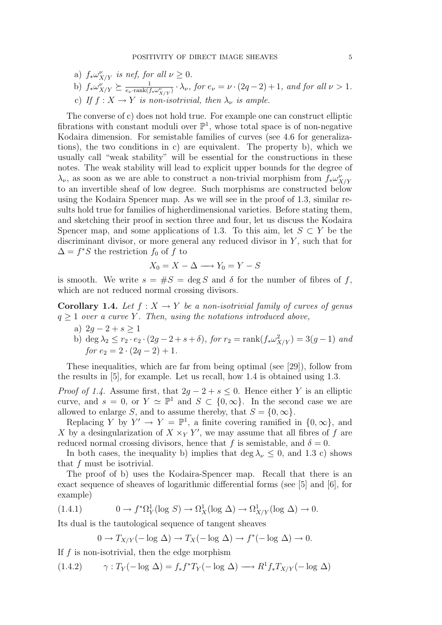- a)  $f_* \omega_{X/Y}^{\nu}$  is nef, for all  $\nu \geq 0$ .
- b)  $f_* \omega_{X/Y}^{\nu} \succeq \frac{1}{e_{\nu} \cdot \text{rank}(f)}$  $\frac{1}{e_{\nu} \cdot \text{rank}(f_* \omega_{X/Y}^{\nu})} \cdot \lambda_{\nu}$ , for  $e_{\nu} = \nu \cdot (2q - 2) + 1$ , and for all  $\nu > 1$ .
- c) If  $f: X \to Y$  is non-isotrivial, then  $\lambda_{\nu}$  is ample.

The converse of c) does not hold true. For example one can construct elliptic fibrations with constant moduli over  $\mathbb{P}^1$ , whose total space is of non-negative Kodaira dimension. For semistable families of curves (see 4.6 for generalizations), the two conditions in c) are equivalent. The property b), which we usually call "weak stability" will be essential for the constructions in these notes. The weak stability will lead to explicit upper bounds for the degree of  $\lambda_{\nu}$ , as soon as we are able to construct a non-trivial morphism from  $f_* \omega_{X/Y}^{\nu}$ to an invertible sheaf of low degree. Such morphisms are constructed below using the Kodaira Spencer map. As we will see in the proof of 1.3, similar results hold true for families of higherdimensional varieties. Before stating them, and sketching their proof in section three and four, let us discuss the Kodaira Spencer map, and some applications of 1.3. To this aim, let  $S \subset Y$  be the discriminant divisor, or more general any reduced divisor in  $Y$ , such that for  $\Delta = f^*S$  the restriction  $f_0$  of f to

$$
X_0 = X - \Delta \longrightarrow Y_0 = Y - S
$$

is smooth. We write  $s = \#S = \deg S$  and  $\delta$  for the number of fibres of f, which are not reduced normal crossing divisors.

**Corollary 1.4.** Let  $f : X \to Y$  be a non-isotrivial family of curves of genus  $q \geq 1$  over a curve Y. Then, using the notations introduced above,

- a)  $2q 2 + s > 1$
- b) deg  $\lambda_2 \le r_2 \cdot e_2 \cdot (2g 2 + s + \delta)$ , for  $r_2 = \text{rank}(f_* \omega_{X/Y}^2) = 3(g 1)$  and for  $e_2 = 2 \cdot (2q - 2) + 1$ .

These inequalities, which are far from being optimal (see [29]), follow from the results in [5], for example. Let us recall, how 1.4 is obtained using 1.3.

*Proof of 1.4.* Assume first, that  $2g - 2 + s \leq 0$ . Hence either Y is an elliptic curve, and  $s = 0$ , or  $Y \simeq \mathbb{P}^1$  and  $S \subset \{0, \infty\}$ . In the second case we are allowed to enlarge S, and to assume thereby, that  $S = \{0, \infty\}.$ 

Replacing Y by  $Y' \to Y = \mathbb{P}^1$ , a finite covering ramified in  $\{0,\infty\}$ , and X by a desingularization of  $X \times_Y Y'$ , we may assume that all fibres of f are reduced normal crossing divisors, hence that f is semistable, and  $\delta = 0$ .

In both cases, the inequality b) implies that deg  $\lambda_{\nu} \leq 0$ , and 1.3 c) shows that f must be isotrivial.

The proof of b) uses the Kodaira-Spencer map. Recall that there is an exact sequence of sheaves of logarithmic differential forms (see [5] and [6], for example)

(1.4.1) 
$$
0 \to f^* \Omega^1_Y(\log S) \to \Omega^1_X(\log \Delta) \to \Omega^1_{X/Y}(\log \Delta) \to 0.
$$

Its dual is the tautological sequence of tangent sheaves

$$
0 \to T_{X/Y}(-\log \Delta) \to T_X(-\log \Delta) \to f^*(-\log \Delta) \to 0.
$$

If  $f$  is non-isotrivial, then the edge morphism

 $(1.4.2)$   $\gamma: T_Y(-\log \Delta) = f_* f^* T_Y(-\log \Delta) \longrightarrow R^1 f_* T_{X/Y}(-\log \Delta)$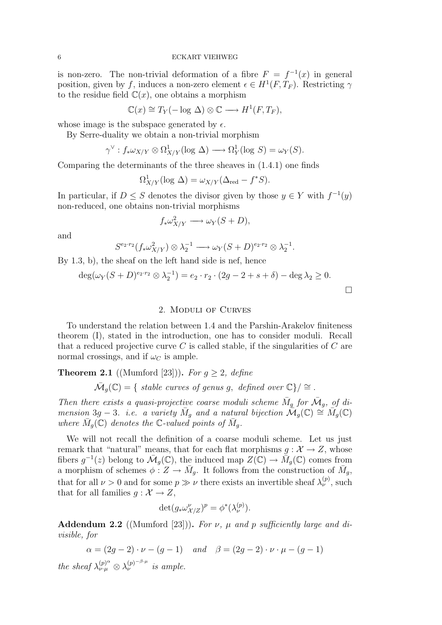is non-zero. The non-trivial deformation of a fibre  $F = f^{-1}(x)$  in general position, given by f, induces a non-zero element  $\epsilon \in H^1(F, T_F)$ . Restricting  $\gamma$ to the residue field  $\mathbb{C}(x)$ , one obtains a morphism

$$
\mathbb{C}(x) \cong T_Y(-\log \Delta) \otimes \mathbb{C} \longrightarrow H^1(F, T_F),
$$

whose image is the subspace generated by  $\epsilon$ .

By Serre-duality we obtain a non-trivial morphism

$$
\gamma^{\vee} : f_* \omega_{X/Y} \otimes \Omega^1_{X/Y} (\log \Delta) \longrightarrow \Omega^1_Y (\log S) = \omega_Y(S).
$$

Comparing the determinants of the three sheaves in (1.4.1) one finds

$$
\Omega^1_{X/Y}(\log \Delta) = \omega_{X/Y}(\Delta_{\text{red}} - f^*S).
$$

In particular, if  $D \leq S$  denotes the divisor given by those  $y \in Y$  with  $f^{-1}(y)$ non-reduced, one obtains non-trivial morphisms

$$
f_* \omega_{X/Y}^2 \longrightarrow \omega_Y(S+D),
$$

and

$$
S^{e_2 \cdot r_2}(f_* \omega_{X/Y}^2) \otimes \lambda_2^{-1} \longrightarrow \omega_Y(S+D)^{e_2 \cdot r_2} \otimes \lambda_2^{-1}.
$$

By 1.3, b), the sheaf on the left hand side is nef, hence

$$
\deg(\omega_Y(S+D)^{e_2 \cdot r_2} \otimes \lambda_2^{-1}) = e_2 \cdot r_2 \cdot (2g-2+s+\delta) - \deg \lambda_2 \ge 0.
$$

### 2. Moduli of Curves

To understand the relation between 1.4 and the Parshin-Arakelov finiteness theorem (I), stated in the introduction, one has to consider moduli. Recall that a reduced projective curve  $C$  is called stable, if the singularities of  $C$  are normal crossings, and if  $\omega_C$  is ample.

**Theorem 2.1** ((Mumford [23])). For  $q \ge 2$ , define

 $\overline{\mathcal{M}}_g(\mathbb{C}) = \{$  stable curves of genus g, defined over  $\mathbb{C}\} / \cong$ .

Then there exists a quasi-projective coarse moduli scheme  $\overline{M}_g$  for  $\overline{\mathcal{M}}_g$ , of dimension 3g – 3. i.e. a variety  $\bar{M}_g$  and a natural bijection  $\mathcal{M}_g(\mathbb{C}) \cong \bar{M}_g(\mathbb{C})$ where  $\overline{M}_g(\mathbb{C})$  denotes the C-valued points of  $\overline{M}_g$ .

We will not recall the definition of a coarse moduli scheme. Let us just remark that "natural" means, that for each flat morphisms  $g: \mathcal{X} \to Z$ , whose fibers  $g^{-1}(z)$  belong to  $\bar{M}_g(\mathbb{C})$ , the induced map  $\overline{Z}(\mathbb{C}) \to \overline{M}_g(\mathbb{C})$  comes from a morphism of schemes  $\phi: Z \to \bar{M}_g$ . It follows from the construction of  $\bar{M}_g$ , that for all  $\nu > 0$  and for some  $p \gg \nu$  there exists an invertible sheaf  $\lambda_{\nu}^{(p)}$ , such that for all families  $g : \mathcal{X} \to Z$ ,

$$
\det(g_*\omega_{\mathcal{X}/Z}^{\nu})^p = \phi^*(\lambda_{\nu}^{(p)}).
$$

Addendum 2.2 ((Mumford [23])). For  $\nu$ ,  $\mu$  and  $p$  sufficiently large and divisible, for

$$
\alpha = (2g - 2) \cdot \nu - (g - 1)
$$
 and  $\beta = (2g - 2) \cdot \nu \cdot \mu - (g - 1)$ 

the sheaf  $\lambda_{\nu\cdot\mu}^{(p)^\alpha} \otimes \lambda_{\nu}^{(p)^{-\beta\cdot\mu}}$  is ample.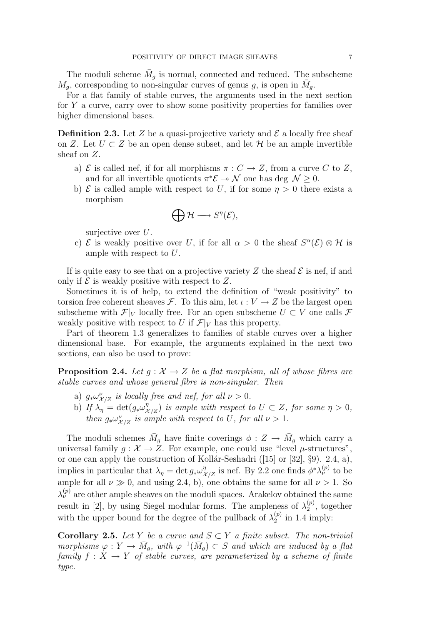The moduli scheme  $\bar{M}_g$  is normal, connected and reduced. The subscheme  $M_g$ , corresponding to non-singular curves of genus g, is open in  $\bar{M}_g$ .

For a flat family of stable curves, the arguments used in the next section for Y a curve, carry over to show some positivity properties for families over higher dimensional bases.

**Definition 2.3.** Let Z be a quasi-projective variety and  $\mathcal{E}$  a locally free sheaf on Z. Let  $U \subset Z$  be an open dense subset, and let H be an ample invertible sheaf on Z.

- a)  $\mathcal E$  is called nef, if for all morphisms  $\pi: C \to Z$ , from a curve C to Z, and for all invertible quotients  $\pi^* \mathcal{E} \to \mathcal{N}$  one has deg  $\mathcal{N} \geq 0$ .
- b)  $\mathcal E$  is called ample with respect to U, if for some  $\eta > 0$  there exists a morphism

$$
\bigoplus \mathcal{H} \longrightarrow S^{\eta}(\mathcal{E}),
$$

surjective over U.

c)  $\mathcal E$  is weakly positive over U, if for all  $\alpha > 0$  the sheaf  $S^{\alpha}(\mathcal E) \otimes \mathcal H$  is ample with respect to U.

If is quite easy to see that on a projective variety Z the sheaf  $\mathcal E$  is nef, if and only if  $\mathcal E$  is weakly positive with respect to Z.

Sometimes it is of help, to extend the definition of "weak positivity" to torsion free coherent sheaves F. To this aim, let  $\iota: V \to Z$  be the largest open subscheme with  $\mathcal{F}|_V$  locally free. For an open subscheme  $U \subset V$  one calls  $\mathcal{F}$ weakly positive with respect to U if  $\mathcal{F}|_V$  has this property.

Part of theorem 1.3 generalizes to families of stable curves over a higher dimensional base. For example, the arguments explained in the next two sections, can also be used to prove:

**Proposition 2.4.** Let  $q : \mathcal{X} \to \mathcal{Z}$  be a flat morphism, all of whose fibres are stable curves and whose general fibre is non-singular. Then

- a)  $g_*\omega_{\mathcal{X}/\mathcal{Z}}^{\nu}$  is locally free and nef, for all  $\nu > 0$ .
- b) If  $\lambda_{\eta} = \det(g_* \omega_{\mathcal{X}/\mathcal{Z}}^{\eta})$  is ample with respect to  $U \subset \mathcal{Z}$ , for some  $\eta > 0$ , then  $g_*\omega_{X/Z}^{\nu}$  is ample with respect to U, for all  $\nu > 1$ .

The moduli schemes  $\overline{M}_g$  have finite coverings  $\phi: Z \to \overline{M}_g$  which carry a universal family  $g: \mathcal{X} \to Z$ . For example, one could use "level  $\mu$ -structures", or one can apply the construction of Kollár-Seshadri ([15] or [32],  $\S9$ ). 2.4, a), implies in particular that  $\lambda_{\eta} = \det g_* \omega_{\mathcal{X}/\mathcal{Z}}^{\eta}$  is nef. By 2.2 one finds  $\phi^* \lambda_{\nu}^{(p)}$  to be ample for all  $\nu \gg 0$ , and using 2.4, b), one obtains the same for all  $\nu > 1$ . So  $\lambda_{\nu}^{(p)}$  are other ample sheaves on the moduli spaces. Arakelov obtained the same result in [2], by using Siegel modular forms. The ampleness of  $\lambda_2^{(p)}$  $2^{(p)}$ , together with the upper bound for the degree of the pullback of  $\lambda_2^{(p)}$  $_2^{(p)}$  in 1.4 imply:

**Corollary 2.5.** Let Y be a curve and  $S \subset Y$  a finite subset. The non-trivial morphisms  $\varphi: Y \to \bar{M}_g$ , with  $\varphi^{-1}(\bar{M}_g) \subset S$  and which are induced by a flat family  $f: X \to Y$  of stable curves, are parameterized by a scheme of finite type.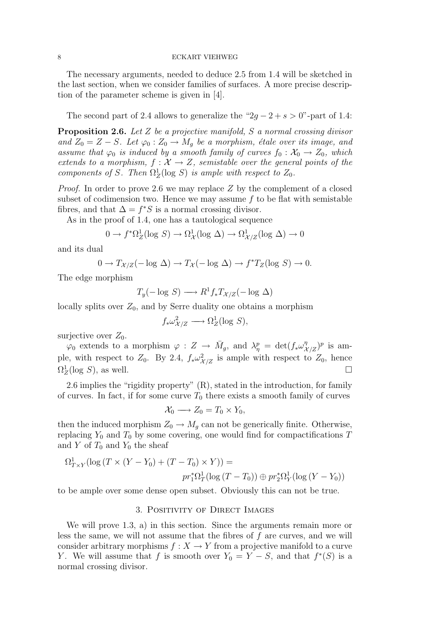The necessary arguments, needed to deduce 2.5 from 1.4 will be sketched in the last section, when we consider families of surfaces. A more precise description of the parameter scheme is given in [4].

The second part of 2.4 allows to generalize the " $2g - 2 + s > 0$ "-part of 1.4:

**Proposition 2.6.** Let  $Z$  be a projective manifold,  $S$  a normal crossing divisor and  $Z_0 = Z - S$ . Let  $\varphi_0 : Z_0 \to M_q$  be a morphism, étale over its image, and assume that  $\varphi_0$  is induced by a smooth family of curves  $f_0 : \mathcal{X}_0 \to Z_0$ , which extends to a morphism,  $f: \mathcal{X} \to Z$ , semistable over the general points of the components of S. Then  $\Omega^1_Z(\log S)$  is ample with respect to  $Z_0$ .

Proof. In order to prove 2.6 we may replace Z by the complement of a closed subset of codimension two. Hence we may assume  $f$  to be flat with semistable fibres, and that  $\Delta = f^*S$  is a normal crossing divisor.

As in the proof of 1.4, one has a tautological sequence

$$
0 \to f^* \Omega^1_Z(\log S) \to \Omega^1_{\mathcal{X}}(\log \Delta) \to \Omega^1_{\mathcal{X}/Z}(\log \Delta) \to 0
$$

and its dual

$$
0 \to T_{\mathcal{X}/Z}(-\text{log }\Delta) \to T_{\mathcal{X}}(-\text{log }\Delta) \to f^*T_Z(\text{log }S) \to 0.
$$

The edge morphism

$$
T_y(-\log S) \longrightarrow R^1 f_* T_{\mathcal{X}/Z}(-\log \Delta)
$$

locally splits over  $Z_0$ , and by Serre duality one obtains a morphism

$$
f_* \omega_{\mathcal{X}/Z}^2 \longrightarrow \Omega_Z^1(\text{log } S),
$$

surjective over  $Z_0$ .

 $\varphi_0$  extends to a morphism  $\varphi: Z \to \bar{M}_g$ , and  $\lambda_{\eta}^p = \det(f_* \omega_{\mathcal{X}/Z}^{\eta})^p$  is ample, with respect to  $Z_0$ . By 2.4,  $f_* \omega_{\mathcal{X}/Z}^2$  is ample with respect to  $Z_0$ , hence  $\Omega^1_Z(\log S)$ , as well.

2.6 implies the "rigidity property" (R), stated in the introduction, for family of curves. In fact, if for some curve  $T_0$  there exists a smooth family of curves

$$
\mathcal{X}_0 \longrightarrow Z_0 = T_0 \times Y_0,
$$

then the induced morphism  $Z_0 \to M_g$  can not be generically finite. Otherwise, replacing  $Y_0$  and  $T_0$  by some covering, one would find for compactifications T and  $Y$  of  $T_0$  and  $Y_0$  the sheaf

$$
\Omega^1_{T \times Y}(\log (T \times (Y - Y_0) + (T - T_0) \times Y)) =
$$
  

$$
pr_1^* \Omega^1_T(\log (T - T_0)) \oplus pr_2^* \Omega^1_Y(\log (Y - Y_0))
$$

to be ample over some dense open subset. Obviously this can not be true.

### 3. Positivity of Direct Images

We will prove 1.3, a) in this section. Since the arguments remain more or less the same, we will not assume that the fibres of  $f$  are curves, and we will consider arbitrary morphisms  $f : X \to Y$  from a projective manifold to a curve Y. We will assume that f is smooth over  $Y_0 = Y - S$ , and that  $f^*(S)$  is a normal crossing divisor.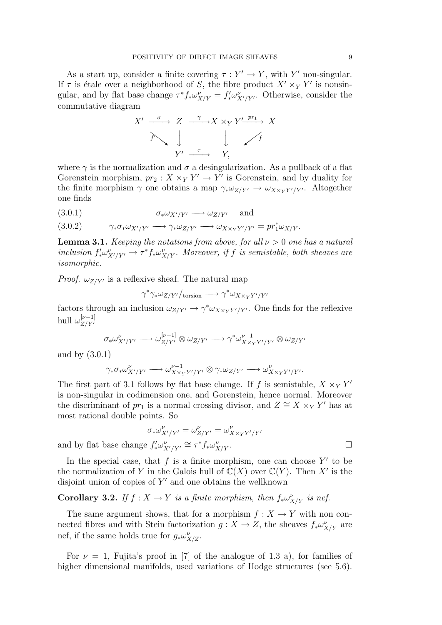As a start up, consider a finite covering  $\tau : Y' \to Y$ , with Y' non-singular. If  $\tau$  is étale over a neighborhood of S, the fibre product  $X' \times_Y Y'$  is nonsingular, and by flat base change  $\tau^* f_* \omega_{X/Y}^{\nu} = f'_* \omega_{X'/Y'}^{\nu}$ . Otherwise, consider the commutative diagram



where  $\gamma$  is the normalization and  $\sigma$  a desingularization. As a pullback of a flat Gorenstein morphism,  $pr_2: X \times_Y Y' \to Y'$  is Gorenstein, and by duality for the finite morphism  $\gamma$  one obtains a map  $\gamma_* \omega_{Z/Y'} \to \omega_{X \times_Y Y'/Y'}$ . Altogether one finds

$$
(3.0.1) \t\t \sigma_* \omega_{X'/Y'} \longrightarrow \omega_{Z/Y'} \quad \text{and}
$$

(3.0.2)  $\gamma_* \sigma_* \omega_{X'/Y'} \longrightarrow \gamma_* \omega_{Z/Y'} \longrightarrow \omega_{X \times_Y Y'/Y'} = pr_1^* \omega_{X/Y}.$ 

**Lemma 3.1.** Keeping the notations from above, for all  $\nu > 0$  one has a natural inclusion  $f'_* \omega^{\nu}_{X'/Y'} \to \tau^* f_* \omega^{\nu}_{X/Y}$ . Moreover, if f is semistable, both sheaves are isomorphic.

*Proof.*  $\omega_{Z/Y'}$  is a reflexive sheaf. The natural map

$$
\gamma^* \gamma_* \omega_{Z/Y'} /_{\text{torsion}} \longrightarrow \gamma^* \omega_{X \times_Y Y'/Y'}
$$

factors through an inclusion  $\omega_{Z/Y'} \to \gamma^* \omega_{X \times_Y Y'/Y'}$ . One finds for the reflexive hull  $\omega_{Z/Y'}^{[\nu-1]}$  $Z/Y'$ 

$$
\sigma_*\omega^{\nu}_{X'/Y'} \longrightarrow \omega^{[\nu-1]}_{Z/Y'} \otimes \omega_{Z/Y'} \longrightarrow \gamma^*\omega^{ \nu-1}_{X\times_Y Y'/Y'} \otimes \omega_{Z/Y'}
$$

and by (3.0.1)

$$
\gamma_* \sigma_* \omega_{X'/Y'}^{\nu} \longrightarrow \omega_{X \times_Y Y'/Y'}^{\nu-1} \otimes \gamma_* \omega_{Z/Y'} \longrightarrow \omega_{X \times_Y Y'/Y'}^{\nu}.
$$

The first part of 3.1 follows by flat base change. If f is semistable,  $X \times_Y Y'$ is non-singular in codimension one, and Gorenstein, hence normal. Moreover the discriminant of  $pr_1$  is a normal crossing divisor, and  $Z \cong X \times_Y Y'$  has at most rational double points. So

$$
\sigma_* \omega^{\nu}_{X'/Y'} = \omega^{\nu}_{Z/Y'} = \omega^{\nu}_{X \times_Y Y'/Y'}
$$
  
 e  $f'_* \omega^{\nu}_{X'/Y'} \cong \tau^* f_* \omega^{\nu}_{X/Y}.$ 

and by flat base change  $f'_* \omega^{\nu}_{X'/Y'} \cong \tau^* f_* \omega^{\nu}_{X'}$ 

In the special case, that  $f$  is a finite morphism, one can choose  $Y'$  to be the normalization of Y in the Galois hull of  $\mathbb{C}(X)$  over  $\mathbb{C}(Y)$ . Then X' is the disjoint union of copies of  $Y'$  and one obtains the wellknown

# **Corollary 3.2.** If  $f : X \to Y$  is a finite morphism, then  $f_* \omega_{X/Y}^{\nu}$  is nef.

The same argument shows, that for a morphism  $f : X \to Y$  with non connected fibres and with Stein factorization  $g: X \to Z$ , the sheaves  $f_* \omega^{\nu}_{X/Y}$  are nef, if the same holds true for  $g_* \omega_{X/Z}^{\nu}$ .

For  $\nu = 1$ , Fujita's proof in [7] of the analogue of 1.3 a), for families of higher dimensional manifolds, used variations of Hodge structures (see 5.6).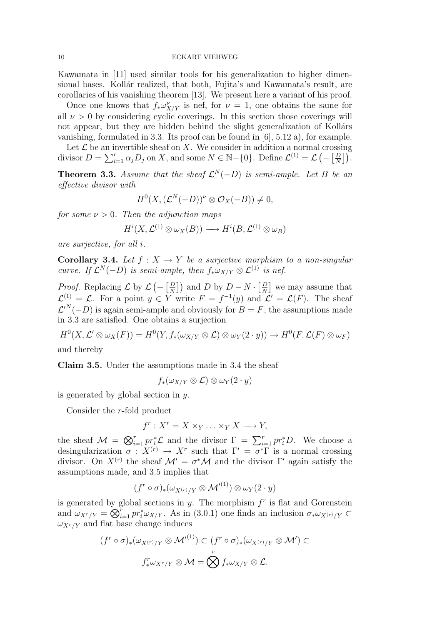Kawamata in [11] used similar tools for his generalization to higher dimensional bases. Kollár realized, that both, Fujita's and Kawamata's result, are corollaries of his vanishing theorem [13]. We present here a variant of his proof.

Once one knows that  $f_* \omega_{X/Y}^{\nu}$  is nef, for  $\nu = 1$ , one obtains the same for all  $\nu > 0$  by considering cyclic coverings. In this section those coverings will not appear, but they are hidden behind the slight generalization of Kollárs vanishing, formulated in 3.3. Its proof can be found in  $[6]$ , 5.12 a), for example.

Let  $\mathcal L$  be an invertible sheaf on X. We consider in addition a normal crossing divisor  $D = \sum_{i=1}^{r} \alpha_j D_j$  on X, and some  $N \in \mathbb{N} - \{0\}$ . Define  $\mathcal{L}^{(1)} = \mathcal{L} \left(-\left[\frac{D}{N}\right] \right]$  $\frac{D}{N} \big] \big).$ 

**Theorem 3.3.** Assume that the sheaf  $\mathcal{L}^{N}(-D)$  is semi-ample. Let B be an effective divisor with

$$
H^{0}(X,(\mathcal{L}^{N}(-D))^{\nu}\otimes \mathcal{O}_{X}(-B))\neq 0,
$$

for some  $\nu > 0$ . Then the adjunction maps

$$
H^i(X, \mathcal{L}^{(1)} \otimes \omega_X(B)) \longrightarrow H^i(B, \mathcal{L}^{(1)} \otimes \omega_B)
$$

are surjective, for all i.

**Corollary 3.4.** Let  $f : X \to Y$  be a surjective morphism to a non-singular curve. If  $\mathcal{L}^N(-D)$  is semi-ample, then  $f_*\omega_{X/Y}\otimes \mathcal{L}^{(1)}$  is nef.

*Proof.* Replacing  $\mathcal{L}$  by  $\mathcal{L}$  (-  $\left[\frac{D}{N}\right]$  $\left[\frac{D}{N}\right]$ ) and D by  $D - N \cdot \left[\frac{D}{N}\right]$  $\frac{D}{N}$  we may assume that  $\mathcal{L}^{(1)} = \mathcal{L}$ . For a point  $y \in Y$  write  $F = f^{-1}(y)$  and  $\mathcal{L}' = \mathcal{L}(F)$ . The sheaf  $\mathcal{L}^{\prime N}(-D)$  is again semi-ample and obviously for  $B=F$ , the assumptions made in 3.3 are satisfied. One obtains a surjection

 $H^0(X, \mathcal{L}' \otimes \omega_X(F)) = H^0(Y, f_*(\omega_{X/Y} \otimes \mathcal{L}) \otimes \omega_Y(2 \cdot y)) \to H^0(F, \mathcal{L}(F) \otimes \omega_F)$ and thereby

Claim 3.5. Under the assumptions made in 3.4 the sheaf

$$
f_*(\omega_{X/Y}\otimes{\mathcal L})\otimes\omega_Y(2\cdot y)
$$

is generated by global section in  $y$ .

Consider the r-fold product

$$
f^r: X^r = X \times_Y \ldots \times_Y X \longrightarrow Y,
$$

the sheaf  $\mathcal{M} = \bigotimes_{i=1}^r pr_i^* \mathcal{L}$  and the divisor  $\Gamma = \sum_{i=1}^r pr_i^* D$ . We choose a desingularization  $\sigma: X^{(r)} \to X^r$  such that  $\Gamma' = \sigma^* \Gamma$  is a normal crossing divisor. On  $X^{(r)}$  the sheaf  $\mathcal{M}' = \sigma^* \mathcal{M}$  and the divisor  $\Gamma'$  again satisfy the assumptions made, and 3.5 implies that

$$
(f^r \circ \sigma)_*(\omega_{X^{(r)}/Y} \otimes {\mathcal M}'^{(1)}) \otimes \omega_Y(2 \cdot y)
$$

is generated by global sections in  $y$ . The morphism  $f<sup>r</sup>$  is flat and Gorenstein and  $\omega_{X^r/Y} = \overline{\bigotimes}_{i=1}^r pr_i^* \omega_{X/Y}$ . As in (3.0.1) one finds an inclusion  $\sigma_* \omega_{X^{(r)}/Y} \subset$  $\omega_{X^r/Y}$  and flat base change induces

$$
(f^r \circ \sigma)_*(\omega_{X^{(r)}/Y} \otimes \mathcal{M}^{(1)}) \subset (f^r \circ \sigma)_*(\omega_{X^{(r)}/Y} \otimes \mathcal{M}') \subset
$$

$$
f^r_*\omega_{X^r/Y} \otimes \mathcal{M} = \bigotimes^r f_*\omega_{X/Y} \otimes \mathcal{L}.
$$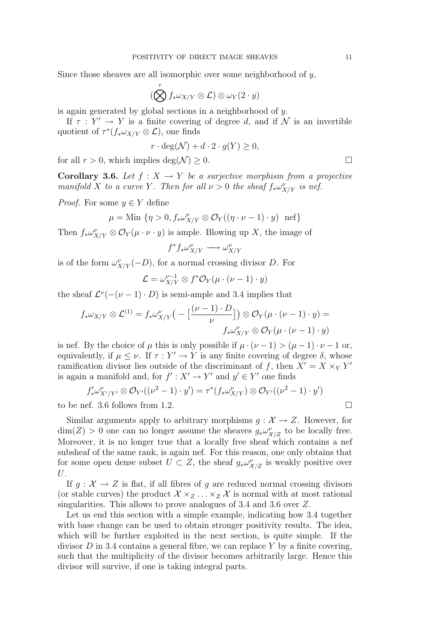Since those sheaves are all isomorphic over some neighborhood of y,

$$
(\bigotimes^r f_* \omega_{X/Y} \otimes \mathcal{L}) \otimes \omega_Y(2 \cdot y)
$$

is again generated by global sections in a neighborhood of y.

If  $\tau : Y' \to Y$  is a finite covering of degree d, and if N is an invertible quotient of  $\tau^*(f_*\omega_{X/Y} \otimes \mathcal{L})$ , one finds

$$
r \cdot \deg(\mathcal{N}) + d \cdot 2 \cdot g(Y) \ge 0,
$$

for all  $r > 0$ , which implies  $\deg(\mathcal{N}) > 0$ .

**Corollary 3.6.** Let  $f : X \to Y$  be a surjective morphism from a projective manifold X to a curve Y. Then for all  $\nu > 0$  the sheaf  $f_* \omega_{X/Y}^{\nu}$  is nef.

*Proof.* For some  $y \in Y$  define

$$
\mu = \text{Min } \{ \eta > 0, f_* \omega_{X/Y}^{\nu} \otimes \mathcal{O}_Y((\eta \cdot \nu - 1) \cdot y) \text{ nef} \}
$$

Then  $f_* \omega_{X/Y}^{\nu} \otimes \mathcal{O}_Y(\mu \cdot \nu \cdot y)$  is ample. Blowing up X, the image of

$$
f^*f_*\omega^{\nu}_{X/Y} \longrightarrow \omega^{\nu}_{X/Y}
$$

is of the form  $\omega^{\nu}_{X/Y}(-D)$ , for a normal crossing divisor D. For

$$
\mathcal{L} = \omega_{X/Y}^{\nu-1} \otimes f^* \mathcal{O}_Y(\mu \cdot (\nu - 1) \cdot y)
$$

the sheaf  $\mathcal{L}^{\nu}(-(\nu-1)\cdot D)$  is semi-ample and 3.4 implies that

$$
f_* \omega_{X/Y} \otimes \mathcal{L}^{(1)} = f_* \omega_{X/Y}^{\nu} \big( - \big[ \frac{(\nu - 1) \cdot D}{\nu} \big] \big) \otimes \mathcal{O}_Y(\mu \cdot (\nu - 1) \cdot y) =
$$
  

$$
f_* \omega_{X/Y}^{\nu} \otimes \mathcal{O}_Y(\mu \cdot (\nu - 1) \cdot y)
$$

is nef. By the choice of  $\mu$  this is only possible if  $\mu \cdot (\nu - 1) > (\mu - 1) \cdot \nu - 1$  or, equivalently, if  $\mu \leq \nu$ . If  $\tau : Y' \to Y$  is any finite covering of degree  $\delta$ , whose ramification divisor lies outside of the discriminant of f, then  $X' = X \times_Y Y'$ is again a manifold and, for  $f': X' \to Y'$  and  $y' \in Y'$  one finds

$$
f'_*\omega^{\nu}_{X'/Y'}\otimes \mathcal{O}_{Y'}((\nu^2-1)\cdot y')=\tau^*(f_*\omega^{\nu}_{X/Y})\otimes \mathcal{O}_{Y'}((\nu^2-1)\cdot y')
$$

to be nef. 3.6 follows from 1.2.

Similar arguments apply to arbitrary morphisms  $g: \mathcal{X} \to Z$ . However, for  $\dim(Z) > 0$  one can no longer assume the sheaves  $g_* \omega_{\mathcal{X}/\mathcal{Z}}^{\nu}$  to be locally free. Moreover, it is no longer true that a locally free sheaf which contains a nef subsheaf of the same rank, is again nef. For this reason, one only obtains that for some open dense subset  $U \subset Z$ , the sheaf  $g_* \omega_{\mathcal{X}/Z}^{\nu}$  is weakly positive over U.

If  $q : \mathcal{X} \to Z$  is flat, if all fibres of q are reduced normal crossing divisors (or stable curves) the product  $\mathcal{X} \times_{\mathbb{Z}} \ldots \times_{\mathbb{Z}} \mathcal{X}$  is normal with at most rational singularities. This allows to prove analogues of 3.4 and 3.6 over Z.

Let us end this section with a simple example, indicating how 3.4 together with base change can be used to obtain stronger positivity results. The idea, which will be further exploited in the next section, is quite simple. If the divisor  $D$  in 3.4 contains a general fibre, we can replace  $Y$  by a finite covering, such that the multiplicity of the divisor becomes arbitrarily large. Hence this divisor will survive, if one is taking integral parts.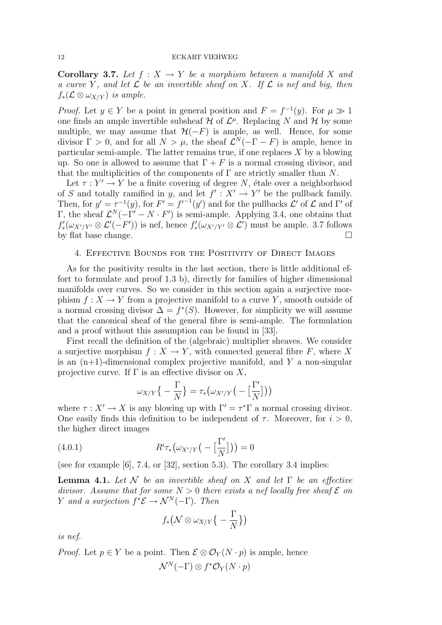**Corollary 3.7.** Let  $f : X \to Y$  be a morphism between a manifold X and a curve Y, and let  $\mathcal L$  be an invertible sheaf on X. If  $\mathcal L$  is nef and big, then  $f_*(\mathcal{L} \otimes \omega_{X/Y})$  is ample.

*Proof.* Let  $y \in Y$  be a point in general position and  $F = f^{-1}(y)$ . For  $\mu \gg 1$ one finds an ample invertible subsheaf  $\mathcal H$  of  $\mathcal L^{\mu}$ . Replacing N and H by some multiple, we may assume that  $H(-F)$  is ample, as well. Hence, for some divisor  $\Gamma > 0$ , and for all  $N > \mu$ , the sheaf  $\mathcal{L}^{N}(-\Gamma - F)$  is ample, hence in particular semi-ample. The latter remains true, if one replaces  $X$  by a blowing up. So one is allowed to assume that  $\Gamma + F$  is a normal crossing divisor, and that the multiplicities of the components of  $\Gamma$  are strictly smaller than N.

Let  $\tau : Y' \to Y$  be a finite covering of degree N, étale over a neighborhood of S and totally ramified in y, and let  $f' : X' \to Y'$  be the pullback family. Then, for  $y' = \tau^{-1}(y)$ , for  $F' = f'^{-1}(y')$  and for the pullbacks  $\mathcal{L}'$  of  $\mathcal{L}$  and  $\Gamma'$  of Γ, the sheaf  $\mathcal{L}^{N}(-\Gamma' - N \cdot F')$  is semi-ample. Applying 3.4, one obtains that  $f'_*(\omega_{X'/Y'} \otimes \mathcal{L}'(-F'))$  is nef, hence  $f'_*(\omega_{X'/Y'} \otimes \mathcal{L}')$  must be ample. 3.7 follows by flat base change.  $\Box$ 

### 4. Effective Bounds for the Positivity of Direct Images

As for the positivity results in the last section, there is little additional effort to formulate and proof 1.3 b), directly for families of higher dimensional manifolds over curves. So we consider in this section again a surjective morphism  $f: X \to Y$  from a projective manifold to a curve Y, smooth outside of a normal crossing divisor  $\Delta = f^*(S)$ . However, for simplicity we will assume that the canonical sheaf of the general fibre is semi-ample. The formulation and a proof without this assumption can be found in [33].

First recall the definition of the (algebraic) multiplier sheaves. We consider a surjective morphism  $f: X \to Y$ , with connected general fibre F, where X is an  $(n+1)$ -dimensional complex projective manifold, and Y a non-singular projective curve. If  $\Gamma$  is an effective divisor on X,

$$
\omega_{X/Y}\big\{-\frac{\Gamma}{N}\big\}=\tau_*\big(\omega_{X'/Y}\big(-\big[\frac{\Gamma'}{N}\big]\big)\big)
$$

where  $\tau : X' \to X$  is any blowing up with  $\Gamma' = \tau^* \Gamma$  a normal crossing divisor. One easily finds this definition to be independent of  $\tau$ . Moreover, for  $i > 0$ , the higher direct images

(4.0.1) 
$$
R^{i}\tau_{*}(\omega_{X'/Y}\big(-\big[\frac{\Gamma'}{N}\big]\big)\big)=0
$$

(see for example  $[6]$ , 7.4, or  $[32]$ , section 5.3). The corollary 3.4 implies:

**Lemma 4.1.** Let N be an invertible sheaf on X and let  $\Gamma$  be an effective divisor. Assume that for some  $N > 0$  there exists a nef locally free sheaf  $\mathcal E$  on Y and a surjection  $f^*\mathcal{E} \to \mathcal{N}^N(-\Gamma)$ . Then

$$
f_*\big(\mathcal{N}\otimes\omega_{X/Y}\big\{-\frac{\Gamma}{N}\big\}\big)
$$

is nef.

*Proof.* Let  $p \in Y$  be a point. Then  $\mathcal{E} \otimes \mathcal{O}_Y(N \cdot p)$  is ample, hence  $\mathcal{N}^N(-\Gamma)\otimes f^*\mathcal{O}_Y(N\cdot p)$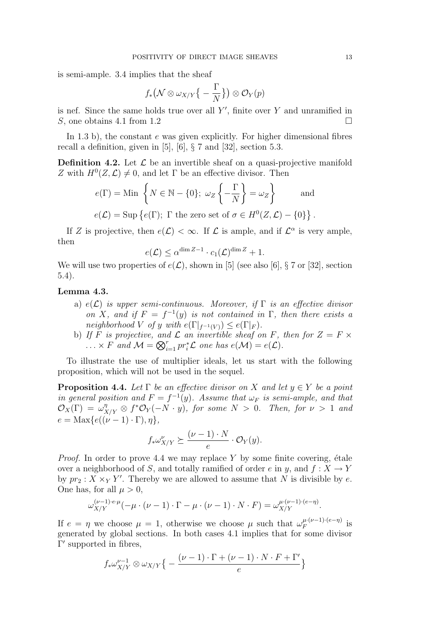is semi-ample. 3.4 implies that the sheaf

$$
f_*\big(\mathcal{N}\otimes\omega_{X/Y}\big\{-\frac{\Gamma}{N}\big\}\big)\otimes\mathcal{O}_Y(p)
$$

is nef. Since the same holds true over all  $Y'$ , finite over Y and unramified in S, one obtains 4.1 from 1.2  $\Box$ 

In 1.3 b), the constant  $e$  was given explicitly. For higher dimensional fibres recall a definition, given in [5], [6], § 7 and [32], section 5.3.

**Definition 4.2.** Let  $\mathcal{L}$  be an invertible sheaf on a quasi-projective manifold Z with  $H^0(Z, \mathcal{L}) \neq 0$ , and let  $\Gamma$  be an effective divisor. Then

$$
e(\Gamma) = \text{Min}\left\{N \in \mathbb{N} - \{0\}; \ \omega_Z \left\{-\frac{\Gamma}{N}\right\} = \omega_Z\right\} \quad \text{and}
$$
  

$$
e(\mathcal{L}) = \text{Sup}\left\{e(\Gamma); \ \Gamma \text{ the zero set of } \sigma \in H^0(Z, \mathcal{L}) - \{0\}\right\}.
$$

If Z is projective, then  $e(\mathcal{L}) < \infty$ . If  $\mathcal L$  is ample, and if  $\mathcal L^{\alpha}$  is very ample, then

$$
e(\mathcal{L}) \le \alpha^{\dim Z - 1} \cdot c_1(\mathcal{L})^{\dim Z} + 1.
$$

We will use two properties of  $e(\mathcal{L})$ , shown in [5] (see also [6], § 7 or [32], section 5.4).

### Lemma 4.3.

- a)  $e(\mathcal{L})$  is upper semi-continuous. Moreover, if  $\Gamma$  is an effective divisor on X, and if  $F = f^{-1}(y)$  is not contained in  $\Gamma$ , then there exists a neighborhood V of y with  $e(\Gamma|_{f^{-1}(V)}) \leq e(\Gamma|_F)$ .
- b) If F is projective, and  $\mathcal L$  an invertible sheaf on F, then for  $Z = F \times$  $\ldots \times F$  and  $\mathcal{M} = \bigotimes_{i=1}^r pr_i^* \mathcal{L}$  one has  $e(\mathcal{M}) = e(\mathcal{L}).$

To illustrate the use of multiplier ideals, let us start with the following proposition, which will not be used in the sequel.

**Proposition 4.4.** Let  $\Gamma$  be an effective divisor on X and let  $y \in Y$  be a point in general position and  $F = f^{-1}(y)$ . Assume that  $\omega_F$  is semi-ample, and that  $\mathcal{O}_X(\Gamma) = \omega_{X/Y}^{\eta} \otimes f^* \mathcal{O}_Y(-N \cdot y)$ , for some  $N > 0$ . Then, for  $\nu > 1$  and  $e = \text{Max}\{e((\nu - 1) \cdot \Gamma), \eta\},\$ 

$$
f_* \omega_{X/Y}^{\nu} \succeq \frac{(\nu - 1) \cdot N}{e} \cdot \mathcal{O}_Y(y).
$$

*Proof.* In order to prove 4.4 we may replace Y by some finite covering, étale over a neighborhood of S, and totally ramified of order e in  $y$ , and  $f: X \to Y$ by  $pr_2: X \times_Y Y'$ . Thereby we are allowed to assume that N is divisible by e. One has, for all  $\mu > 0$ ,

$$
\omega_{X/Y}^{(\nu-1)\cdot e\cdot\mu}(-\mu\cdot(\nu-1)\cdot\Gamma-\mu\cdot(\nu-1)\cdot N\cdot F)=\omega_{X/Y}^{\mu\cdot(\nu-1)\cdot(e-\eta)}.
$$

If  $e = \eta$  we choose  $\mu = 1$ , otherwise we choose  $\mu$  such that  $\omega_F^{\mu \cdot (\nu-1) \cdot (e-\eta)}$  $\int_{F}^{\mu \cdot (\nu - 1) \cdot (e - \eta)}$  is generated by global sections. In both cases 4.1 implies that for some divisor  $Γ'$  supported in fibres,

$$
f_*\omega_{X/Y}^{\nu-1}\otimes \omega_{X/Y}\big\{-\frac{(\nu-1)\cdot\Gamma+(\nu-1)\cdot N\cdot F+\Gamma'}{e}\big\}
$$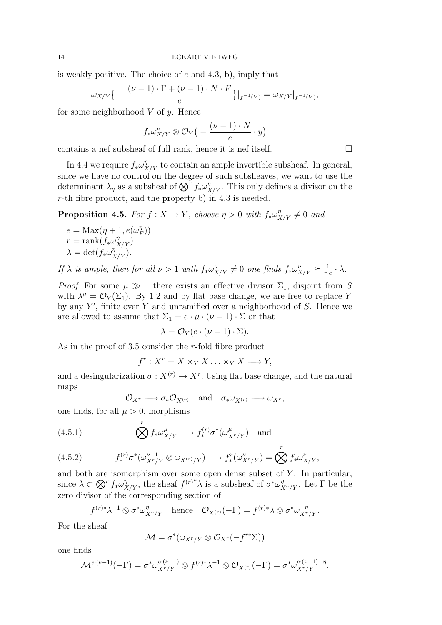is weakly positive. The choice of e and 4.3, b), imply that

$$
\omega_{X/Y}\big\{-\frac{(\nu-1)\cdot\Gamma+(\nu-1)\cdot N\cdot F}{e}\big\}\big|_{f^{-1}(V)}=\omega_{X/Y}\big|_{f^{-1}(V)},
$$

for some neighborhood  $V$  of  $y$ . Hence

$$
f_*\omega^{\nu}_{X/Y}\otimes\mathcal{O}_Y\big(-\frac{(\nu-1)\cdot N}{e}\cdot y\big)
$$

contains a nef subsheaf of full rank, hence it is nef itself.  $\Box$ 

In 4.4 we require  $f_* \omega_{X/Y}^{\eta}$  to contain an ample invertible subsheaf. In general, since we have no control on the degree of such subsheaves, we want to use the determinant  $\lambda_{\eta}$  as a subsheaf of  $\bigotimes^{\tau} f_* \omega_{X/Y}^{\eta}$ . This only defines a divisor on the r-th fibre product, and the property b) in 4.3 is needed.

**Proposition 4.5.** For  $f: X \to Y$ , choose  $\eta > 0$  with  $f_* \omega_{X/Y}^{\eta} \neq 0$  and

$$
e = \text{Max}(\eta + 1, e(\omega_F^{\eta}))
$$
  

$$
r = \text{rank}(f_*\omega_{X/Y}^{\eta})
$$
  

$$
\lambda = \det(f_*\omega_{X/Y}^{\eta}).
$$

If  $\lambda$  is ample, then for all  $\nu > 1$  with  $f_* \omega_{X/Y}^{\nu} \neq 0$  one finds  $f_* \omega_{X/Y}^{\nu} \succeq \frac{1}{r}$ .  $\frac{1}{r\cdot e}\cdot \lambda$ .

*Proof.* For some  $\mu \gg 1$  there exists an effective divisor  $\Sigma_1$ , disjoint from S with  $\lambda^{\mu} = \mathcal{O}_Y(\Sigma_1)$ . By 1.2 and by flat base change, we are free to replace Y by any  $Y'$ , finite over Y and unramified over a neighborhood of S. Hence we are allowed to assume that  $\Sigma_1 = e \cdot \mu \cdot (\nu - 1) \cdot \Sigma$  or that

$$
\lambda = \mathcal{O}_Y(e \cdot (\nu - 1) \cdot \Sigma).
$$

As in the proof of 3.5 consider the r-fold fibre product

$$
f^r: X^r = X \times_Y X \dots \times_Y X \longrightarrow Y,
$$

and a desingularization  $\sigma: X^{(r)} \to X^r$ . Using flat base change, and the natural maps

$$
\mathcal{O}_{X^r} \longrightarrow \sigma_* \mathcal{O}_{X^{(r)}} \quad \text{and} \quad \sigma_* \omega_{X^{(r)}} \longrightarrow \omega_{X^r},
$$

one finds, for all  $\mu > 0$ , morphisms

(4.5.1) 
$$
\bigotimes^r f_* \omega^{\mu}_{X/Y} \longrightarrow f_*^{(r)} \sigma^* (\omega^{\mu}_{X^r/Y}) \text{ and}
$$

(4.5.2) 
$$
f_*^{(r)} \sigma^* (\omega_{X^r/Y}^{\nu-1} \otimes \omega_{X^{(r)}/Y}) \longrightarrow f_*^r (\omega_{X^r/Y}^{\nu}) = \bigotimes^r f_* \omega_{X/Y}^{\nu},
$$

and both are isomorphism over some open dense subset of  $Y$ . In particular, since  $\lambda \subset \bigotimes^r f_* \omega_{X/Y}^{\eta}$ , the sheaf  $f^{(r)*}\lambda$  is a subsheaf of  $\sigma^* \omega_{X^r/Y}^{\eta}$ . Let  $\Gamma$  be the zero divisor of the corresponding section of

$$
f^{(r)*}\lambda^{-1}\otimes \sigma^*\omega^{\eta}_{X^r/Y}
$$
 hence  $\mathcal{O}_{X^{(r)}}(-\Gamma) = f^{(r)*}\lambda \otimes \sigma^*\omega^{\eta}_{X^r/Y}$ .

For the sheaf

$$
\mathcal{M}=\sigma^*(\omega_{X^r/Y}\otimes\mathcal{O}_{X^r}(-f^{r*}\Sigma))
$$

one finds

$$
\mathcal{M}^{e\cdot(\nu-1)}(-\Gamma) = \sigma^* \omega_{X^r/Y}^{e\cdot(\nu-1)} \otimes f^{(r)*}\lambda^{-1} \otimes \mathcal{O}_{X^{(r)}}(-\Gamma) = \sigma^* \omega_{X^r/Y}^{e\cdot(\nu-1)-\eta}.
$$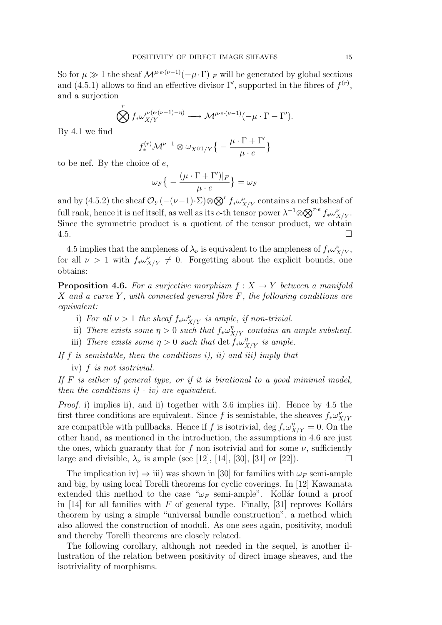So for  $\mu \gg 1$  the sheaf  $\mathcal{M}^{\mu \cdot e^{\cdot (\nu-1)}(-\mu \cdot \Gamma)|_F}$  will be generated by global sections and (4.5.1) allows to find an effective divisor  $\Gamma'$ , supported in the fibres of  $f^{(r)}$ , and a surjection

$$
\bigotimes^r f_* \omega_{X/Y}^{\mu \cdot (e \cdot (\nu-1)-\eta)} \longrightarrow \mathcal{M}^{\mu \cdot e \cdot (\nu-1)}(-\mu \cdot \Gamma - \Gamma').
$$

By 4.1 we find

$$
f_*^{(r)}\mathcal{M}^{\nu-1}\otimes \omega_{X^{(r)}/Y}\big\{-\frac{\mu\cdot\Gamma+\Gamma'}{\mu\cdot e}\big\}
$$

to be nef. By the choice of e,

$$
\omega_F\big\{-\frac{(\mu\cdot\Gamma+\Gamma')|_F}{\mu\cdot e}\big\}=\omega_F
$$

and by (4.5.2) the sheaf  $\mathcal{O}_Y(-(\nu-1)\cdot\Sigma)\otimes \bigotimes^r f_*\omega^{\nu}_{X/Y}$  contains a nef subsheaf of full rank, hence it is nef itself, as well as its e-th tensor power  $\lambda^{-1}\otimes\bigotimes^{r\cdot e} f_*\omega_{X/Y}^{\nu}$ . Since the symmetric product is a quotient of the tensor product, we obtain 4.5.

4.5 implies that the ampleness of  $\lambda_{\nu}$  is equivalent to the ampleness of  $f_{*}\omega_{X/Y}^{\nu}$ , for all  $\nu > 1$  with  $f_* \omega_{X/Y}^{\nu} \neq 0$ . Forgetting about the explicit bounds, one obtains:

**Proposition 4.6.** For a surjective morphism  $f: X \rightarrow Y$  between a manifold X and a curve Y, with connected general fibre  $F$ , the following conditions are equivalent:

- i) For all  $\nu > 1$  the sheaf  $f_* \omega_{X/Y}^{\nu}$  is ample, if non-trivial.
- ii) There exists some  $\eta > 0$  such that  $f_* \omega_{X/Y}^{\eta}$  contains an ample subsheaf.
- iii) There exists some  $\eta > 0$  such that  $\det f^{\dagger}_{*} \omega_{X/Y}^{\eta}$  is ample.

If  $f$  is semistable, then the conditions i), ii) and iii) imply that

iv) f is not isotrivial.

If  $F$  is either of general type, or if it is birational to a good minimal model, then the conditions  $i)$  -  $iv)$  are equivalent.

Proof. i) implies ii), and ii) together with 3.6 implies iii). Hence by 4.5 the first three conditions are equivalent. Since f is semistable, the sheaves  $f_*\omega_{X/Y}^{\nu}$ are compatible with pullbacks. Hence if f is isotrivial,  $\deg f_* \omega_{X/Y}^{\eta} = 0$ . On the other hand, as mentioned in the introduction, the assumptions in 4.6 are just the ones, which guaranty that for f non isotrivial and for some  $\nu$ , sufficiently large and divisible,  $\lambda_{\nu}$  is ample (see [12], [14], [30], [31] or [22]).

The implication iv)  $\Rightarrow$  iii) was shown in [30] for families with  $\omega_F$  semi-ample and big, by using local Torelli theorems for cyclic coverings. In [12] Kawamata extended this method to the case " $\omega_F$  semi-ample". Kollár found a proof in [14] for all families with F of general type. Finally, [31] reproves Kollárs theorem by using a simple "universal bundle construction", a method which also allowed the construction of moduli. As one sees again, positivity, moduli and thereby Torelli theorems are closely related.

The following corollary, although not needed in the sequel, is another illustration of the relation between positivity of direct image sheaves, and the isotriviality of morphisms.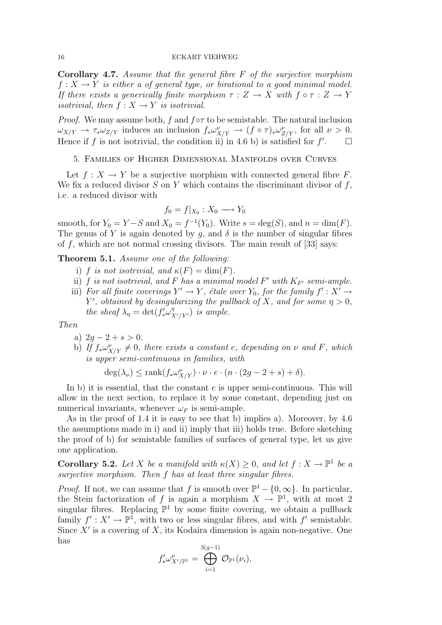**Corollary 4.7.** Assume that the general fibre  $F$  of the surjective morphism  $f: X \to Y$  is either a of general type, or birational to a good minimal model. If there exists a generically finite morphism  $\tau : Z \to X$  with  $f \circ \tau : Z \to Y$ isotrivial, then  $f: X \to Y$  is isotrivial.

*Proof.* We may assume both, f and  $f \circ \tau$  to be semistable. The natural inclusion  $\omega_{X/Y} \to \tau_* \omega_{Z/Y}$  induces an inclusion  $f_* \omega_{X/Y}^{\nu} \to (f \circ \tau)_* \omega_{Z/Y}^{\nu}$ , for all  $\nu > 0$ . Hence if f is not isotrivial, the condition ii) in 4.6 b) is satisfied for  $f'$  $\Box$ 

# 5. Families of Higher Dimensional Manifolds over Curves

Let  $f: X \to Y$  be a surjective morphism with connected general fibre F. We fix a reduced divisor  $S$  on  $Y$  which contains the discriminant divisor of  $f$ , i.e. a reduced divisor with

$$
f_0 = f|_{X_0} : X_0 \longrightarrow Y_0
$$

smooth, for  $Y_0 = Y - S$  and  $X_0 = f^{-1}(Y_0)$ . Write  $s = \deg(S)$ , and  $n = \dim(F)$ . The genus of Y is again denoted by q, and  $\delta$  is the number of singular fibres of f, which are not normal crossing divisors. The main result of  $[33]$  says:

Theorem 5.1. Assume one of the following:

- i) f is not isotrivial, and  $\kappa(F) = \dim(F)$ .
- ii) f is not isotrivial, and F has a minimal model F' with  $K_{F'}$  semi-ample.
- iii) For all finite coverings  $Y' \to Y$ , étale over  $Y_0$ , for the family  $f' : X' \to Y$ Y', obtained by desingularizing the pullback of X, and for some  $\eta > 0$ , the sheaf  $\lambda_{\eta} = \det(f'_* \omega_{X'/Y'}^{\eta})$  is ample.

Then

- a)  $2q 2 + s > 0$ .
- b) If  $f_*\omega_{X/Y}^{\nu} \neq 0$ , there exists a constant e, depending on  $\nu$  and F, which is upper semi-continuous in families, with

$$
\deg(\lambda_{\nu}) \le \operatorname{rank}(f_* \omega_{X/Y}^{\nu}) \cdot \nu \cdot e \cdot (n \cdot (2g - 2 + s) + \delta).
$$

In b) it is essential, that the constant  $e$  is upper semi-continuous. This will allow in the next section, to replace it by some constant, depending just on numerical invariants, whenever  $\omega_F$  is semi-ample.

As in the proof of 1.4 it is easy to see that b) implies a). Moreover, by 4.6 the assumptions made in i) and ii) imply that iii) holds true. Before sketching the proof of b) for semistable families of surfaces of general type, let us give one application.

**Corollary 5.2.** Let X be a manifold with  $\kappa(X) \geq 0$ , and let  $f: X \to \mathbb{P}^1$  be a surjective morphism. Then f has at least three singular fibres.

*Proof.* If not, we can assume that f is smooth over  $\mathbb{P}^1 - \{0, \infty\}$ . In particular, the Stein factorization of f is again a morphism  $X \to \mathbb{P}^1$ , with at most 2 singular fibres. Replacing  $\mathbb{P}^1$  by some finite covering, we obtain a pullback family  $f' : X' \to \mathbb{P}^1$ , with two or less singular fibres, and with f' semistable. Since  $X'$  is a covering of  $X$ , its Kodaira dimension is again non-negative. One has

$$
f'_* \omega^{\nu}_{X'/{\mathbb P}^1} = \bigoplus_{i=1}^{3(g-1)} {\mathcal O}_{{\mathbb P}^1}(\nu_i),
$$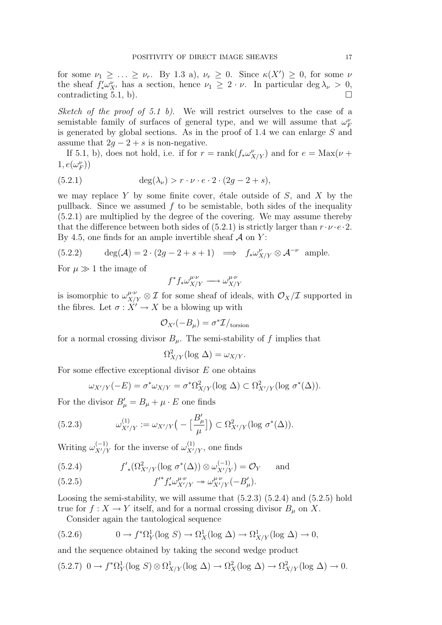for some  $\nu_1 \geq \ldots \geq \nu_r$ . By 1.3 a),  $\nu_r \geq 0$ . Since  $\kappa(X') \geq 0$ , for some  $\nu$ the sheaf  $f'_* \omega_{X'}^{\nu}$  has a section, hence  $\nu_1 \geq 2 \cdot \nu$ . In particular deg  $\lambda_{\nu} > 0$ , contradicting 5.1, b).

Sketch of the proof of 5.1 b). We will restrict ourselves to the case of a semistable family of surfaces of general type, and we will assume that  $\omega_F^{\nu}$ is generated by global sections. As in the proof of 1.4 we can enlarge  $S$  and assume that  $2q - 2 + s$  is non-negative.

If 5.1, b), does not hold, i.e. if for  $r = \text{rank}(f_* \omega_{X/Y}^{\nu})$  and for  $e = \text{Max}(\nu +$  $1,e(\omega_F^\nu))$ 

(5.2.1) 
$$
\deg(\lambda_{\nu}) > r \cdot \nu \cdot e \cdot 2 \cdot (2g - 2 + s),
$$

we may replace Y by some finite cover, étale outside of  $S$ , and X by the pullback. Since we assumed  $f$  to be semistable, both sides of the inequality (5.2.1) are multiplied by the degree of the covering. We may assume thereby that the difference between both sides of  $(5.2.1)$  is strictly larger than  $r \cdot \nu \cdot e \cdot 2$ . By 4.5, one finds for an ample invertible sheaf  $\mathcal A$  on  $Y$ :

(5.2.2) 
$$
\deg(\mathcal{A}) = 2 \cdot (2g - 2 + s + 1) \implies f_* \omega_{X/Y}^{\nu} \otimes \mathcal{A}^{-\nu} \text{ ample.}
$$

For  $\mu \gg 1$  the image of

$$
f^* f_* \omega_{X/Y}^{\mu \cdot \nu} \longrightarrow \omega_{X/Y}^{\mu \cdot \nu}
$$

is isomorphic to  $\omega_{X/Y}^{\mu\nu\phi} \otimes I$  for some sheaf of ideals, with  $\mathcal{O}_X/I$  supported in the fibres. Let  $\sigma: X' \to X$  be a blowing up with

$$
\mathcal{O}_{X'}(-B_{\mu}) = \sigma^* \mathcal{I}/_{\text{torsion}}
$$

for a normal crossing divisor  $B_u$ . The semi-stability of f implies that

$$
\Omega^2_{X/Y}(\log \Delta) = \omega_{X/Y}.
$$

For some effective exceptional divisor  $E$  one obtains

$$
\omega_{X'/Y}(-E) = \sigma^* \omega_{X/Y} = \sigma^* \Omega^2_{X/Y}(\log \Delta) \subset \Omega^2_{X'/Y}(\log \sigma^*(\Delta)).
$$

For the divisor  $B'_{\mu} = B_{\mu} + \mu \cdot E$  one finds

(5.2.3) 
$$
\omega_{X'/Y}^{(1)} := \omega_{X'/Y} \big( - \big[ \frac{B'_{\mu}}{\mu} \big] \big) \subset \Omega_{X'/Y}^2 (\log \sigma^*(\Delta)).
$$

Writing  $\omega_{X'/Y}^{(-1)}$  for the inverse of  $\omega_{X'/Y}^{(1)}$ , one finds

(5.2.4) 
$$
f'_{*}(\Omega^{2}_{X'/Y}(\log \sigma^{*}(\Delta)) \otimes \omega^{(-1)}_{X'/Y}) = \mathcal{O}_{Y}
$$
 and

(5.2.5) 
$$
f'^{*} f'_{*} \omega^{\mu \cdot \nu}_{X'/Y} \to \omega^{\mu \cdot \nu}_{X'/Y} (-B'_{\mu}).
$$

Loosing the semi-stability, we will assume that  $(5.2.3)$   $(5.2.4)$  and  $(5.2.5)$  hold true for  $f: X \to Y$  itself, and for a normal crossing divisor  $B_\mu$  on X.

Consider again the tautological sequence

(5.2.6) 
$$
0 \to f^* \Omega_Y^1(\log S) \to \Omega_X^1(\log \Delta) \to \Omega_{X/Y}^1(\log \Delta) \to 0,
$$

and the sequence obtained by taking the second wedge product

$$
(5.2.7) \ \ 0 \to f^*\Omega^1_Y(\log S) \otimes \Omega^1_{X/Y}(\log \Delta) \to \Omega^2_X(\log \Delta) \to \Omega^2_{X/Y}(\log \Delta) \to 0.
$$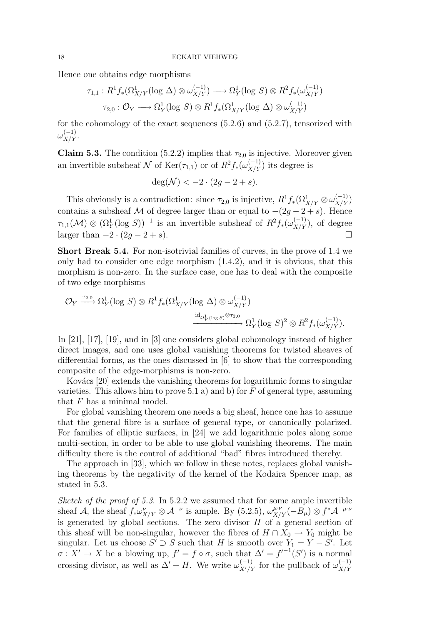Hence one obtains edge morphisms

$$
\tau_{1,1}: R^1 f_*(\Omega^1_{X/Y}(\log \Delta) \otimes \omega_{X/Y}^{(-1)}) \longrightarrow \Omega^1_Y(\log S) \otimes R^2 f_*(\omega_{X/Y}^{(-1)})
$$

$$
\tau_{2,0}: \mathcal{O}_Y \longrightarrow \Omega^1_Y(\log S) \otimes R^1 f_*(\Omega^1_{X/Y}(\log \Delta) \otimes \omega_{X/Y}^{(-1)})
$$

for the cohomology of the exact sequences  $(5.2.6)$  and  $(5.2.7)$ , tensorized with  $\omega_{X/Y}^{(-1)}.$ 

**Claim 5.3.** The condition (5.2.2) implies that  $\tau_{2,0}$  is injective. Moreover given an invertible subsheaf  $\mathcal N$  of  $\text{Ker}(\tau_{1,1})$  or of  $R^2f_*(\omega_{X/Y}^{(-1)})$  its degree is

$$
\deg(\mathcal{N}) < -2 \cdot (2g - 2 + s).
$$

This obviously is a contradiction: since  $\tau_{2,0}$  is injective,  $R^1 f_*(\Omega^1_{X/Y} \otimes \omega^{(-1)}_{X/Y})$ contains a subsheaf M of degree larger than or equal to  $-(2g-2+s)$ . Hence  $\tau_{1,1}(\mathcal{M}) \otimes (\Omega_Y^1(\log S))^{-1}$  is an invertible subsheaf of  $R^2f_*(\omega_{X/Y}^{(-1)})$ , of degree larger than  $-2 \cdot (2g - 2 + s)$ .

Short Break 5.4. For non-isotrivial families of curves, in the prove of 1.4 we only had to consider one edge morphism  $(1.4.2)$ , and it is obvious, that this morphism is non-zero. In the surface case, one has to deal with the composite of two edge morphisms

$$
\mathcal{O}_Y \xrightarrow{\tau_{2,0}} \Omega^1_Y(\log S) \otimes R^1 f_*(\Omega^1_{X/Y}(\log \Delta) \otimes \omega^{(-1)}_{X/Y}) \xrightarrow{\mathrm{id}_{\Omega^1_Y(\log S)} \otimes \tau_{2,0}} \Omega^1_Y(\log S)^2 \otimes R^2 f_*(\omega^{(-1)}_{X/Y}).
$$

In [21], [17], [19], and in [3] one considers global cohomology instead of higher direct images, and one uses global vanishing theorems for twisted sheaves of differential forms, as the ones discussed in [6] to show that the corresponding composite of the edge-morphisms is non-zero.

Kovács [20] extends the vanishing theorems for logarithmic forms to singular varieties. This allows him to prove 5.1 a) and b) for  $F$  of general type, assuming that  $F$  has a minimal model.

For global vanishing theorem one needs a big sheaf, hence one has to assume that the general fibre is a surface of general type, or canonically polarized. For families of elliptic surfaces, in [24] we add logarithmic poles along some multi-section, in order to be able to use global vanishing theorems. The main difficulty there is the control of additional "bad" fibres introduced thereby.

The approach in [33], which we follow in these notes, replaces global vanishing theorems by the negativity of the kernel of the Kodaira Spencer map, as stated in 5.3.

Sketch of the proof of 5.3. In 5.2.2 we assumed that for some ample invertible sheaf A, the sheaf  $f_* \omega_{X/Y}^{\nu} \otimes A^{-\nu}$  is ample. By (5.2.5),  $\omega_{X/Y}^{\mu \nu}(-B_{\mu}) \otimes f^* A^{-\mu \nu}$ is generated by global sections. The zero divisor  $H$  of a general section of this sheaf will be non-singular, however the fibres of  $H \cap X_0 \to Y_0$  might be singular. Let us choose  $S' \supset S$  such that H is smooth over  $Y_1 = Y - S'$ . Let  $\sigma: X' \to X$  be a blowing up,  $f' = f \circ \sigma$ , such that  $\Delta' = f'^{-1}(S')$  is a normal crossing divisor, as well as  $\Delta' + H$ . We write  $\omega_{X'/Y}^{(-1)}$  for the pullback of  $\omega_{X/Y}^{(-1)}$  $X/Y$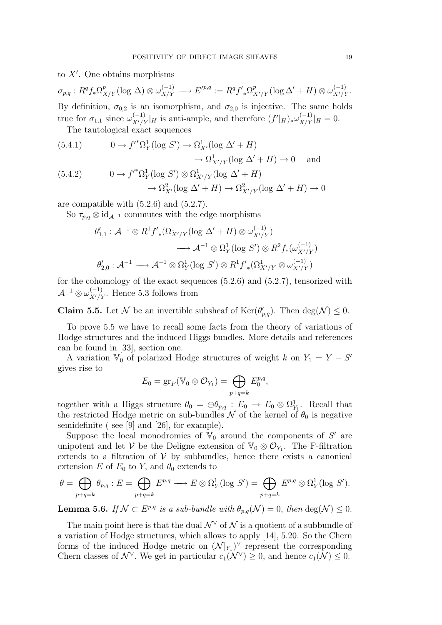# to  $X'$ . One obtains morphisms

 $\sigma_{p,q}: R^qf_*\Omega^p_{X/Y}(\log\Delta)\otimes\omega^{(-1)}_{X/Y}\longrightarrow E'^{p,q}:=R^qf'_{*}\Omega^p_{X'/Y}(\log\Delta'+H)\otimes\omega^{(-1)}_{X'/Y}.$ By definition,  $\sigma_{0,2}$  is an isomorphism, and  $\sigma_{2,0}$  is injective. The same holds true for  $\sigma_{1,1}$  since  $\omega_{X'/Y}^{(-1)}|_H$  is anti-ample, and therefore  $(f'|_H)_*\omega_{X/Y}^{(-1)}|_H = 0$ .

The tautological exact sequences

(5.4.1) 
$$
0 \to f'^* \Omega^1_Y(\log S') \to \Omega^1_{X'}(\log \Delta' + H) \to \Omega^1_{X'/Y}(\log \Delta' + H) \to 0 \text{ and}
$$
  
(5.4.2) 
$$
0 \to f'^* \Omega^1_Y(\log S') \otimes \Omega^1_{X'/Y}(\log \Delta' + H)
$$

$$
\to \Omega^2_{X'}(\log \Delta' + H) \to \Omega^2_{X'/Y}(\log \Delta' + H) \to 0
$$

are compatible with (5.2.6) and (5.2.7).

So  $\tau_{p,q} \otimes \mathrm{id}_{\mathcal{A}^{-1}}$  commutes with the edge morphisms

$$
\theta'_{1,1}: \mathcal{A}^{-1} \otimes R^1 f'_{*}(\Omega^1_{X'/Y}(\log \Delta' + H) \otimes \omega^{(-1)}_{X'/Y})
$$
  

$$
\longrightarrow \mathcal{A}^{-1} \otimes \Omega^1_Y(\log S') \otimes R^2 f_{*}(\omega^{(-1)}_{X'/Y})
$$
  

$$
\theta'_{2,0}: \mathcal{A}^{-1} \longrightarrow \mathcal{A}^{-1} \otimes \Omega^1_Y(\log S') \otimes R^1 f'_{*}(\Omega^1_{X'/Y} \otimes \omega^{(-1)}_{X'/Y})
$$

for the cohomology of the exact sequences (5.2.6) and (5.2.7), tensorized with  $\mathcal{A}^{-1}\otimes \omega^{(-1)}_{X'/Y}$ . Hence 5.3 follows from

**Claim 5.5.** Let N be an invertible subsheaf of  $\text{Ker}(\theta'_{p,q})$ . Then  $\text{deg}(\mathcal{N}) \leq 0$ .

To prove 5.5 we have to recall some facts from the theory of variations of Hodge structures and the induced Higgs bundles. More details and references can be found in [33], section one.

A variation  $\mathbb{V}_0$  of polarized Hodge structures of weight k on  $Y_1 = Y - S'$ gives rise to

$$
E_0 = \text{gr}_F(\mathbb{V}_0 \otimes \mathcal{O}_{Y_1}) = \bigoplus_{p+q=k} E_0^{p,q},
$$

together with a Higgs structure  $\theta_0 = \bigoplus \theta_{p,q} : E_0 \to E_0 \otimes \Omega^1_{Y_1}$ . Recall that the restricted Hodge metric on sub-bundles  $\mathcal N$  of the kernel of  $\theta_0$  is negative semidefinite ( see [9] and [26], for example).

Suppose the local monodromies of  $\mathbb{V}_0$  around the components of S' are unipotent and let V be the Deligne extension of  $\mathbb{V}_0 \otimes \mathcal{O}_{Y_1}$ . The F-filtration extends to a filtration of  $V$  by subbundles, hence there exists a canonical extension E of  $E_0$  to Y, and  $\theta_0$  extends to

$$
\theta = \bigoplus_{p+q=k} \theta_{p,q} : E = \bigoplus_{p+q=k} E^{p,q} \longrightarrow E \otimes \Omega^1_Y(\log S') = \bigoplus_{p+q=k} E^{p,q} \otimes \Omega^1_Y(\log S').
$$

**Lemma 5.6.** If  $\mathcal{N} \subset E^{p,q}$  is a sub-bundle with  $\theta_{p,q}(\mathcal{N}) = 0$ , then  $\deg(\mathcal{N}) \leq 0$ .

The main point here is that the dual  $\mathcal{N}^{\vee}$  of  $\mathcal N$  is a quotient of a subbundle of a variation of Hodge structures, which allows to apply [14], 5.20. So the Chern forms of the induced Hodge metric on  $(\mathcal{N}|_{Y_1})^{\vee}$  represent the corresponding Chern classes of  $\mathcal{N}^{\vee}$ . We get in particular  $c_1(\mathcal{N}^{\vee}) \geq 0$ , and hence  $c_1(\mathcal{N}) \leq 0$ .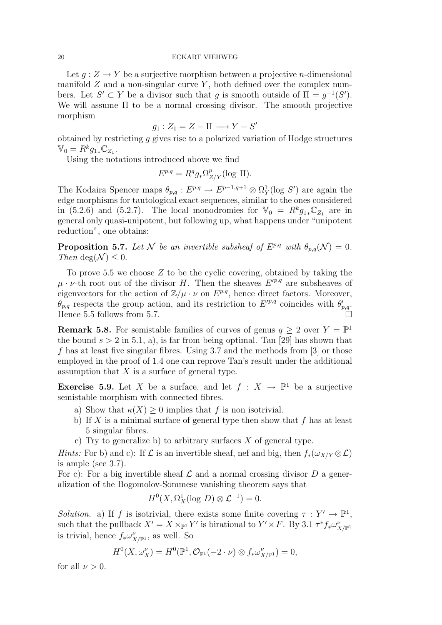Let  $g: Z \to Y$  be a surjective morphism between a projective *n*-dimensional manifold  $Z$  and a non-singular curve  $Y$ , both defined over the complex numbers. Let  $S' \subset Y$  be a divisor such that g is smooth outside of  $\Pi = g^{-1}(S')$ . We will assume Π to be a normal crossing divisor. The smooth projective morphism

$$
g_1: Z_1 = Z - \Pi \longrightarrow Y - S'
$$

obtained by restricting g gives rise to a polarized variation of Hodge structures  $\mathbb{V}_0 = R^k g_{1*} \mathbb{C}_{Z_1}.$ 

Using the notations introduced above we find

$$
E^{p,q} = R^q g_* \Omega^p_{Z/Y} (\log \Pi).
$$

The Kodaira Spencer maps  $\theta_{p,q}: E^{p,q} \to E^{p-1,q+1} \otimes \Omega_Y^1(\log S')$  are again the edge morphisms for tautological exact sequences, similar to the ones considered in (5.2.6) and (5.2.7). The local monodromies for  $\mathbb{V}_0 = R^k g_{1*} \mathbb{C}_{Z_1}$  are in general only quasi-unipotent, but following up, what happens under "unipotent reduction", one obtains:

**Proposition 5.7.** Let N be an invertible subsheaf of  $E^{p,q}$  with  $\theta_{p,q}(\mathcal{N}) = 0$ . Then deg( $\mathcal{N}$ ) < 0.

To prove 5.5 we choose  $Z$  to be the cyclic covering, obtained by taking the  $\mu \cdot \nu$ -th root out of the divisor H. Then the sheaves  $E'^{p,q}$  are subsheaves of eigenvectors for the action of  $\mathbb{Z}/\mu \cdot \nu$  on  $E^{p,q}$ , hence direct factors. Moreover,  $\theta_{p,q}$  respects the group action, and its restriction to  $E'^{p,q}$  coincides with  $\theta'_{p,q}$ . Hence 5.5 follows from 5.7.

**Remark 5.8.** For semistable families of curves of genus  $q \geq 2$  over  $Y = \mathbb{P}^1$ the bound  $s > 2$  in 5.1, a), is far from being optimal. Tan [29] has shown that f has at least five singular fibres. Using 3.7 and the methods from [3] or those employed in the proof of 1.4 one can reprove Tan's result under the additional assumption that  $X$  is a surface of general type.

**Exercise 5.9.** Let X be a surface, and let  $f: X \to \mathbb{P}^1$  be a surjective semistable morphism with connected fibres.

- a) Show that  $\kappa(X) \geq 0$  implies that f is non isotrivial.
- b) If  $X$  is a minimal surface of general type then show that  $f$  has at least 5 singular fibres.
- c) Try to generalize b) to arbitrary surfaces  $X$  of general type.

Hints: For b) and c): If  $\mathcal L$  is an invertible sheaf, nef and big, then  $f_*(\omega_{X/Y} \otimes \mathcal L)$ is ample (see 3.7).

For c): For a big invertible sheaf  $\mathcal L$  and a normal crossing divisor  $D$  a generalization of the Bogomolov-Sommese vanishing theorem says that

$$
H^0(X, \Omega^1_X(\log D) \otimes \mathcal{L}^{-1}) = 0.
$$

Solution. a) If f is isotrivial, there exists some finite covering  $\tau : Y' \to \mathbb{P}^1$ , such that the pullback  $X' = X \times_{\mathbb{P}^1} Y'$  is birational to  $Y' \times F$ . By 3.1  $\tau^* f_* \omega^{\nu}_{X/\mathbb{P}^1}$ is trivial, hence  $f_*\omega_{X/\mathbb{P}^1}^{\nu}$ , as well. So

$$
H^0(X,\omega_X^{\nu})=H^0(\mathbb{P}^1,\mathcal{O}_{\mathbb{P}^1}(-2\cdot\nu)\otimes f_*\omega_{X/\mathbb{P}^1}^{\nu})=0,
$$

for all  $\nu > 0$ .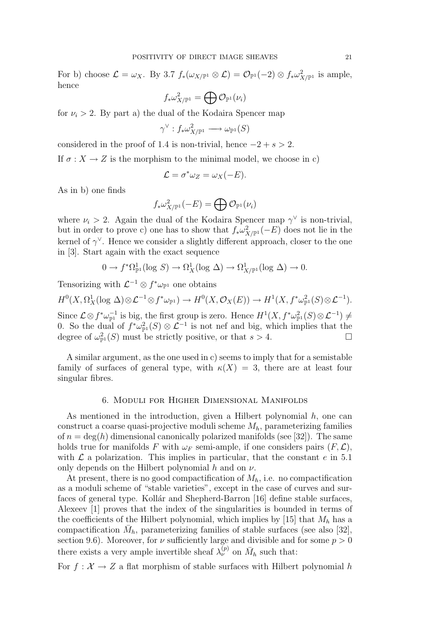For b) choose  $\mathcal{L} = \omega_X$ . By 3.7  $f_*(\omega_{X/\mathbb{P}^1} \otimes \mathcal{L}) = \mathcal{O}_{\mathbb{P}^1}(-2) \otimes f_*\omega_{X/\mathbb{P}^1}^2$  is ample, hence

$$
f_*\omega_{X/\mathbb{P}^1}^2=\bigoplus \mathcal{O}_{\mathbb{P}^1}(\nu_i)
$$

for  $\nu_i > 2$ . By part a) the dual of the Kodaira Spencer map

$$
\gamma^\vee: f_*\omega_{X/\mathbb{P}^1}^2 \longrightarrow \omega_{\mathbb{P}^1}(S)
$$

considered in the proof of 1.4 is non-trivial, hence  $-2 + s > 2$ .

If  $\sigma: X \to Z$  is the morphism to the minimal model, we choose in c)

$$
\mathcal{L} = \sigma^* \omega_Z = \omega_X(-E).
$$

As in b) one finds

$$
f_*\omega_{X/\mathbb{P}^1}^2(-E)=\bigoplus \mathcal{O}_{\mathbb{P}^1}(\nu_i)
$$

where  $\nu_i > 2$ . Again the dual of the Kodaira Spencer map  $\gamma^{\vee}$  is non-trivial, but in order to prove c) one has to show that  $f_*\omega^2_{X/\mathbb{P}^1}(-E)$  does not lie in the kernel of  $\gamma^{\vee}$ . Hence we consider a slightly different approach, closer to the one in [3]. Start again with the exact sequence

$$
0 \to f^*\Omega^1_{\mathbb{P}^1}(\log S) \to \Omega^1_X(\log \Delta) \to \Omega^1_{X/\mathbb{P}^1}(\log \Delta) \to 0.
$$

Tensorizing with  $\mathcal{L}^{-1} \otimes f^* \omega_{\mathbb{P}^1}$  one obtains

 $H^0(X, \Omega^1_X(\log \Delta) \otimes \mathcal{L}^{-1} \otimes f^* \omega_{\mathbb{P}^1}) \to H^0(X, \mathcal{O}_X(E)) \to H^1(X, f^* \omega_{\mathbb{P}^1}^2(S) \otimes \mathcal{L}^{-1}).$ Since  $\mathcal{L} \otimes f^* \omega_{\mathbb{P}^1}^{-1}$  is big, the first group is zero. Hence  $H^1(X, f^* \omega_{\mathbb{P}^1}^2(S) \otimes \mathcal{L}^{-1}) \neq$ 0. So the dual of  $f^*\omega_{\mathbb{P}^1}^2(S) \otimes \mathcal{L}^{-1}$  is not nef and big, which implies that the degree of  $\omega_{\mathbb{P}^1}^2(S)$  must be strictly positive, or that  $s > 4$ .

A similar argument, as the one used in c) seems to imply that for a semistable family of surfaces of general type, with  $\kappa(X) = 3$ , there are at least four singular fibres.

### 6. Moduli for Higher Dimensional Manifolds

As mentioned in the introduction, given a Hilbert polynomial  $h$ , one can construct a coarse quasi-projective moduli scheme  $M_h$ , parameterizing families of  $n = \deg(h)$  dimensional canonically polarized manifolds (see [32]). The same holds true for manifolds F with  $\omega_F$  semi-ample, if one considers pairs  $(F, \mathcal{L})$ , with  $\mathcal L$  a polarization. This implies in particular, that the constant e in 5.1 only depends on the Hilbert polynomial  $h$  and on  $\nu$ .

At present, there is no good compactification of  $M_h$ , i.e. no compactification as a moduli scheme of "stable varieties", except in the case of curves and surfaces of general type. Kollár and Shepherd-Barron [16] define stable surfaces, Alexeev [1] proves that the index of the singularities is bounded in terms of the coefficients of the Hilbert polynomial, which implies by [15] that  $M_h$  has a compactification  $\bar{M}_h$ , parameterizing families of stable surfaces (see also [32], section 9.6). Moreover, for  $\nu$  sufficiently large and divisible and for some  $p > 0$ there exists a very ample invertible sheaf  $\lambda_{\nu}^{(p)}$  on  $\bar{M}_h$  such that:

For  $f: \mathcal{X} \to Z$  a flat morphism of stable surfaces with Hilbert polynomial h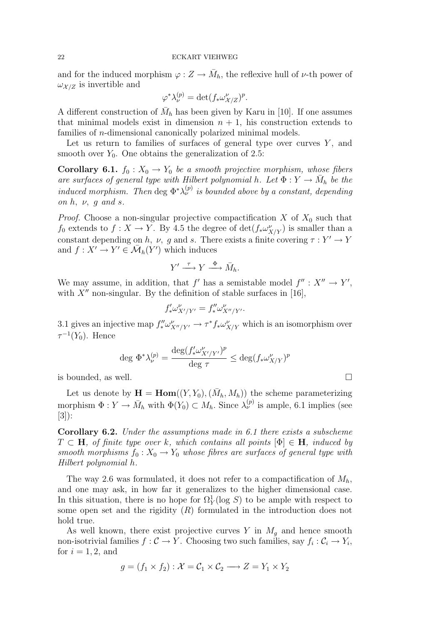and for the induced morphism  $\varphi: Z \to \bar{M}_h$ , the reflexive hull of  $\nu$ -th power of  $\omega_{\mathcal{X}/\mathcal{Z}}$  is invertible and

$$
\varphi^* \lambda_\nu^{(p)} = \det(f_* \omega_{\mathcal{X}/Z}^\nu)^p.
$$

A different construction of  $\bar{M}_h$  has been given by Karu in [10]. If one assumes that minimal models exist in dimension  $n + 1$ , his construction extends to families of *n*-dimensional canonically polarized minimal models.

Let us return to families of surfaces of general type over curves  $Y$ , and smooth over  $Y_0$ . One obtains the generalization of 2.5:

**Corollary 6.1.**  $f_0: X_0 \to Y_0$  be a smooth projective morphism, whose fibers are surfaces of general type with Hilbert polynomial h. Let  $\Phi: Y \to \bar{M}_h$  be the induced morphism. Then deg  $\Phi^* \lambda_{\nu}^{(p)}$  is bounded above by a constant, depending on  $h$ ,  $\nu$ ,  $g$  and  $s$ .

*Proof.* Choose a non-singular projective compactification  $X$  of  $X_0$  such that  $f_0$  extends to  $f: X \to Y$ . By 4.5 the degree of  $\det(f_* \omega^{\nu}_{X/Y})$  is smaller than a constant depending on h, v, g and s. There exists a finite covering  $\tau: Y' \to Y$ and  $f: X' \to Y' \in \overline{\mathcal{M}}_h(Y')$  which induces

$$
Y' \xrightarrow{\tau} Y \xrightarrow{\Phi} \bar{M}_h.
$$

We may assume, in addition, that f' has a semistable model  $f'' : X'' \to Y'$ , with  $X''$  non-singular. By the definition of stable surfaces in [16],

$$
f'_* \omega^{\nu}_{X'/Y'} = f''_* \omega^{\nu}_{X''/Y'}.
$$

3.1 gives an injective map  $f''_* \omega^{\nu}_{X''/Y'} \to \tau^* f_* \omega^{\nu}_{X/Y}$  which is an isomorphism over  $\tau^{-1}(Y_0)$ . Hence

$$
\deg \Phi^* \lambda_\nu^{(p)} = \frac{\deg (f'_* \omega^{\nu}_{X'/Y'})^p}{\deg \tau} \leq \deg (f_* \omega^{\nu}_{X/Y})^p
$$

is bounded, as well.  $\Box$ 

Let us denote by  $\mathbf{H} = \text{Hom}((Y, Y_0), (\bar{M}_h, M_h))$  the scheme parameterizing morphism  $\Phi: Y \to \bar{M}_h$  with  $\Phi(Y_0) \subset M_h$ . Since  $\lambda_{\nu}^{(p)}$  is ample, 6.1 implies (see [3]):

Corollary 6.2. Under the assumptions made in 6.1 there exists a subscheme  $T \subset H$ , of finite type over k, which contains all points  $[\Phi] \in H$ , induced by smooth morphisms  $f_0 : X_0 \to Y_0$  whose fibres are surfaces of general type with Hilbert polynomial h.

The way 2.6 was formulated, it does not refer to a compactification of  $M_h$ , and one may ask, in how far it generalizes to the higher dimensional case. In this situation, there is no hope for  $\Omega_Y^1(\log S)$  to be ample with respect to some open set and the rigidity  $(R)$  formulated in the introduction does not hold true.

As well known, there exist projective curves Y in  $M<sub>q</sub>$  and hence smooth non-isotrivial families  $f: \mathcal{C} \to Y$ . Choosing two such families, say  $f_i: \mathcal{C}_i \to Y_i$ , for  $i = 1, 2$ , and

$$
g = (f_1 \times f_2) : \mathcal{X} = \mathcal{C}_1 \times \mathcal{C}_2 \longrightarrow Z = Y_1 \times Y_2
$$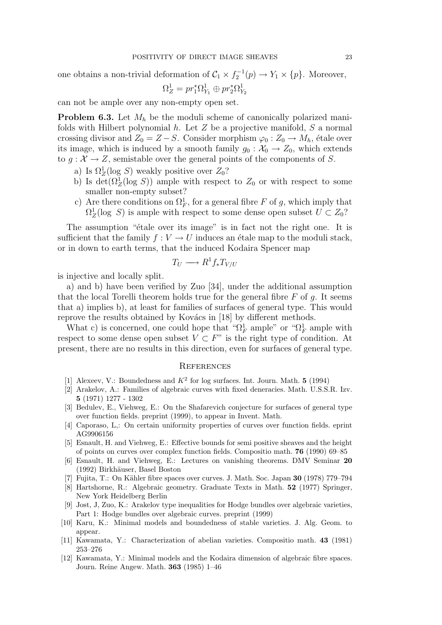one obtains a non-trivial deformation of  $C_1 \times f_2^{-1}(p) \to Y_1 \times \{p\}$ . Moreover,

$$
\Omega^1_Z=pr_1^*\Omega^1_{Y_1}\oplus pr_2^*\Omega^1_{Y_2}
$$

can not be ample over any non-empty open set.

**Problem 6.3.** Let  $M_h$  be the moduli scheme of canonically polarized manifolds with Hilbert polynomial  $h$ . Let  $Z$  be a projective manifold,  $S$  a normal crossing divisor and  $Z_0 = Z - S$ . Consider morphism  $\varphi_0 : Z_0 \to M_h$ , étale over its image, which is induced by a smooth family  $g_0 : \mathcal{X}_0 \to Z_0$ , which extends to  $g: \mathcal{X} \to Z$ , semistable over the general points of the components of S.

- a) Is  $\Omega_Z^1(\log S)$  weakly positive over  $Z_0$ ?
- b) Is det( $\Omega_Z^1(\log S)$ ) ample with respect to  $Z_0$  or with respect to some smaller non-empty subset?
- c) Are there conditions on  $\Omega_F^1$ , for a general fibre F of g, which imply that  $\Omega_Z^1(\log S)$  is ample with respect to some dense open subset  $U \subset Z_0$ ?

The assumption "etale over its image" is in fact not the right one. It is sufficient that the family  $f: V \to U$  induces an étale map to the moduli stack, or in down to earth terms, that the induced Kodaira Spencer map

$$
T_U \longrightarrow R^1 f_* T_{V/U}
$$

is injective and locally split.

a) and b) have been verified by Zuo [34], under the additional assumption that the local Torelli theorem holds true for the general fibre  $F$  of  $q$ . It seems that a) implies b), at least for families of surfaces of general type. This would reprove the results obtained by Kovács in [18] by different methods.

What c) is concerned, one could hope that " $\Omega_F^1$  ample" or " $\Omega_F^1$  ample with respect to some dense open subset  $V \subset F$ " is the right type of condition. At present, there are no results in this direction, even for surfaces of general type.

### **REFERENCES**

- [1] Alexeev, V.: Boundedness and  $K^2$  for log surfaces. Int. Journ. Math. 5 (1994)
- [2] Arakelov, A.: Families of algebraic curves with fixed deneracies. Math. U.S.S.R. Izv. 5 (1971) 1277 - 1302
- [3] Bedulev, E., Viehweg, E.: On the Shafarevich conjecture for surfaces of general type over function fields. preprint (1999), to appear in Invent. Math.
- [4] Caporaso, L,: On certain uniformity properties of curves over function fields. eprint AG9906156
- [5] Esnault, H. and Viehweg, E.: Effective bounds for semi positive sheaves and the height of points on curves over complex function fields. Compositio math. 76 (1990) 69–85
- [6] Esnault, H. and Viehweg, E.: Lectures on vanishing theorems. DMV Seminar 20 (1992) Birkhäuser, Basel Boston
- $[7]$  Fujita, T.: On Kähler fibre spaces over curves. J. Math. Soc. Japan 30 (1978) 779–794
- [8] Hartshorne, R.: Algebraic geometry. Graduate Texts in Math. 52 (1977) Springer, New York Heidelberg Berlin
- [9] Jost, J, Zuo, K.: Arakelov type inequalities for Hodge bundles over algebraic varieties, Part 1: Hodge bundles over algebraic curves. preprint (1999)
- [10] Karu, K.: Minimal models and boundedness of stable varieties. J. Alg. Geom. to appear.
- [11] Kawamata, Y.: Characterization of abelian varieties. Compositio math. 43 (1981) 253–276
- [12] Kawamata, Y.: Minimal models and the Kodaira dimension of algebraic fibre spaces. Journ. Reine Angew. Math. 363 (1985) 1–46